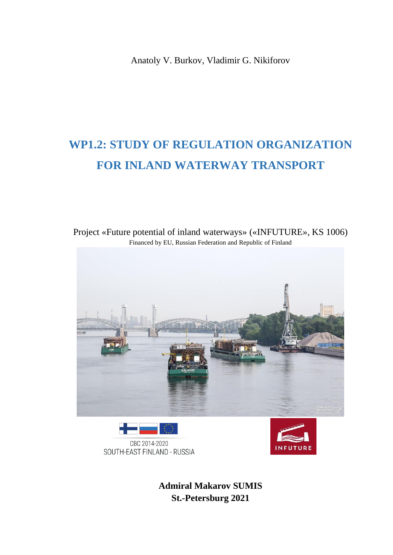Anatoly V. Burkov, Vladimir G. Nikiforov

# **WP1.2: STUDY OF REGULATION ORGANIZATION FOR INLAND WATERWAY TRANSPORT**



Project «Future potential of inland waterways» («INFUTURE», KS 1006) Financed by EU, Russian Federation and Republic of Finland





**Admiral Makarov SUMIS St.-Petersburg 2021**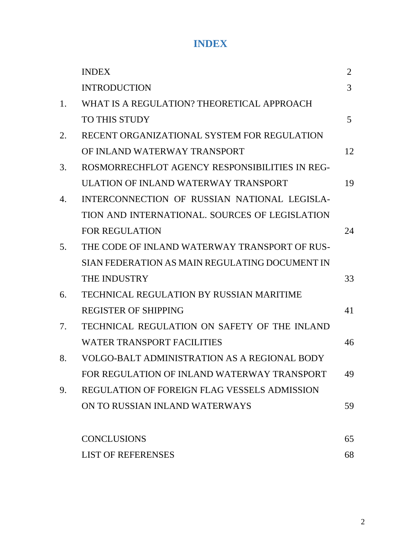#### **INDEX**

|    | <b>INDEX</b>                                        | 2  |
|----|-----------------------------------------------------|----|
|    | <b>INTRODUCTION</b>                                 | 3  |
| 1. | WHAT IS A REGULATION? THEORETICAL APPROACH          |    |
|    | <b>TO THIS STUDY</b>                                | 5  |
| 2. | RECENT ORGANIZATIONAL SYSTEM FOR REGULATION         |    |
|    | OF INLAND WATERWAY TRANSPORT                        | 12 |
| 3. | ROSMORRECHFLOT AGENCY RESPONSIBILITIES IN REG-      |    |
|    | ULATION OF INLAND WATERWAY TRANSPORT                | 19 |
| 4. | INTERCONNECTION OF RUSSIAN NATIONAL LEGISLA-        |    |
|    | TION AND INTERNATIONAL. SOURCES OF LEGISLATION      |    |
|    | <b>FOR REGULATION</b>                               | 24 |
| 5. | THE CODE OF INLAND WATERWAY TRANSPORT OF RUS-       |    |
|    | SIAN FEDERATION AS MAIN REGULATING DOCUMENT IN      |    |
|    | THE INDUSTRY                                        | 33 |
| 6. | TECHNICAL REGULATION BY RUSSIAN MARITIME            |    |
|    | <b>REGISTER OF SHIPPING</b>                         | 41 |
| 7. | TECHNICAL REGULATION ON SAFETY OF THE INLAND        |    |
|    | WATER TRANSPORT FACILITIES                          | 46 |
| 8. | VOLGO-BALT ADMINISTRATION AS A REGIONAL BODY        |    |
|    | FOR REGULATION OF INLAND WATERWAY TRANSPORT         | 49 |
| 9. | <b>REGULATION OF FOREIGN FLAG VESSELS ADMISSION</b> |    |
|    | ON TO RUSSIAN INLAND WATERWAYS                      | 59 |
|    | <b>CONCLUSIONS</b>                                  | 65 |
|    | <b>LIST OF REFERENSES</b>                           | 68 |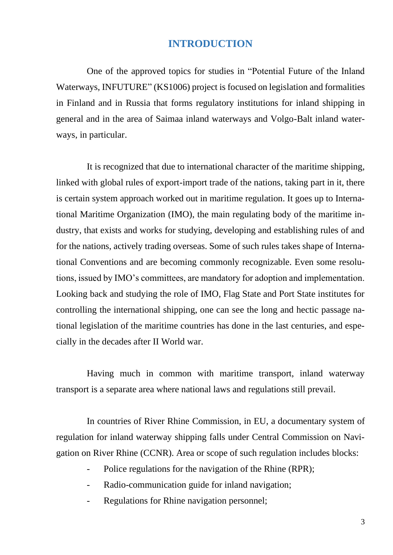#### **INTRODUCTION**

One of the approved topics for studies in "Potential Future of the Inland Waterways, INFUTURE" (KS1006) project is focused on legislation and formalities in Finland and in Russia that forms regulatory institutions for inland shipping in general and in the area of Saimaa inland waterways and Volgo-Balt inland waterways, in particular.

It is recognized that due to international character of the maritime shipping, linked with global rules of export-import trade of the nations, taking part in it, there is certain system approach worked out in maritime regulation. It goes up to International Maritime Organization (IMO), the main regulating body of the maritime industry, that exists and works for studying, developing and establishing rules of and for the nations, actively trading overseas. Some of such rules takes shape of International Conventions and are becoming commonly recognizable. Even some resolutions, issued by IMO's committees, are mandatory for adoption and implementation. Looking back and studying the role of IMO, Flag State and Port State institutes for controlling the international shipping, one can see the long and hectic passage national legislation of the maritime countries has done in the last centuries, and especially in the decades after II World war.

Having much in common with maritime transport, inland waterway transport is a separate area where national laws and regulations still prevail.

In countries of River Rhine Commission, in EU, a documentary system of regulation for inland waterway shipping falls under Central Commission on Navigation on River Rhine (CCNR). Area or scope of such regulation includes blocks:

- Police regulations for the navigation of the Rhine (RPR);
- Radio-communication guide for inland navigation;
- Regulations for Rhine navigation personnel;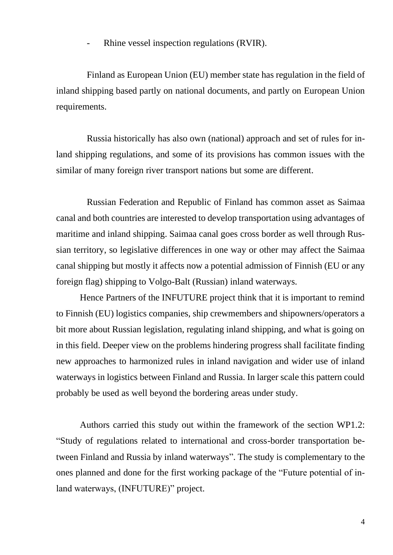Rhine vessel inspection regulations (RVIR).

Finland as European Union (EU) member state has regulation in the field of inland shipping based partly on national documents, and partly on European Union requirements.

Russia historically has also own (national) approach and set of rules for inland shipping regulations, and some of its provisions has common issues with the similar of many foreign river transport nations but some are different.

Russian Federation and Republic of Finland has common asset as Saimaa canal and both countries are interested to develop transportation using advantages of maritime and inland shipping. Saimaa canal goes cross border as well through Russian territory, so legislative differences in one way or other may affect the Saimaa canal shipping but mostly it affects now a potential admission of Finnish (EU or any foreign flag) shipping to Volgo-Balt (Russian) inland waterways.

Hence Partners of the INFUTURE project think that it is important to remind to Finnish (EU) logistics companies, ship crewmembers and shipowners/operators a bit more about Russian legislation, regulating inland shipping, and what is going on in this field. Deeper view on the problems hindering progress shall facilitate finding new approaches to harmonized rules in inland navigation and wider use of inland waterways in logistics between Finland and Russia. In larger scale this pattern could probably be used as well beyond the bordering areas under study.

Authors carried this study out within the framework of the section WP1.2: "Study of regulations related to international and cross-border transportation between Finland and Russia by inland waterways". The study is complementary to the ones planned and done for the first working package of the "Future potential of inland waterways, (INFUTURE)" project.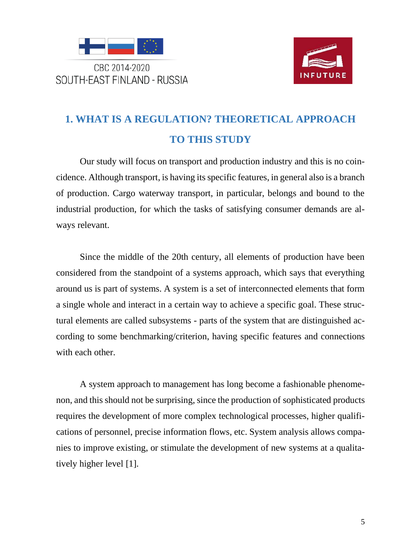

CBC 2014-2020 SOUTH-EAST FINLAND - RUSSIA



## **1. WHAT IS A REGULATION? THEORETICAL APPROACH TO THIS STUDY**

Our study will focus on transport and production industry and this is no coincidence. Although transport, is having its specific features, in general also is a branch of production. Cargo waterway transport, in particular, belongs and bound to the industrial production, for which the tasks of satisfying consumer demands are always relevant.

Since the middle of the 20th century, all elements of production have been considered from the standpoint of a systems approach, which says that everything around us is part of systems. A system is a set of interconnected elements that form a single whole and interact in a certain way to achieve a specific goal. These structural elements are called subsystems - parts of the system that are distinguished according to some benchmarking/criterion, having specific features and connections with each other.

A system approach to management has long become a fashionable phenomenon, and this should not be surprising, since the production of sophisticated products requires the development of more complex technological processes, higher qualifications of personnel, precise information flows, etc. System analysis allows companies to improve existing, or stimulate the development of new systems at a qualitatively higher level [1].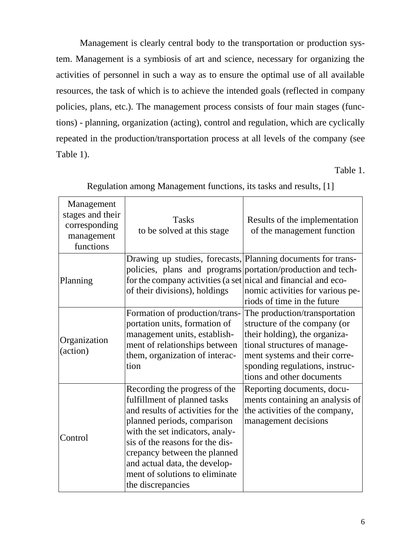Management is clearly central body to the transportation or production system. Management is a symbiosis of art and science, necessary for organizing the activities of personnel in such a way as to ensure the optimal use of all available resources, the task of which is to achieve the intended goals (reflected in company policies, plans, etc.). The management process consists of four main stages (functions) - planning, organization (acting), control and regulation, which are cyclically repeated in the production/transportation process at all levels of the company (see Table 1).

Table 1.

| Management<br>stages and their<br>corresponding<br>management<br>functions | <b>Tasks</b><br>to be solved at this stage                                                                                                                                                                                                                                                                                      | Results of the implementation<br>of the management function                                                                                                                                                                    |
|----------------------------------------------------------------------------|---------------------------------------------------------------------------------------------------------------------------------------------------------------------------------------------------------------------------------------------------------------------------------------------------------------------------------|--------------------------------------------------------------------------------------------------------------------------------------------------------------------------------------------------------------------------------|
| Planning                                                                   | Drawing up studies, forecasts, Planning documents for trans-<br>policies, plans and programs portation/production and tech-<br>for the company activities (a set nical and financial and eco-<br>of their divisions), holdings                                                                                                  | nomic activities for various pe-<br>riods of time in the future                                                                                                                                                                |
| Organization<br>(action)                                                   | Formation of production/trans-<br>portation units, formation of<br>management units, establish-<br>ment of relationships between<br>them, organization of interac-<br>tion                                                                                                                                                      | The production/transportation<br>structure of the company (or<br>their holding), the organiza-<br>tional structures of manage-<br>ment systems and their corre-<br>sponding regulations, instruc-<br>tions and other documents |
| Control                                                                    | Recording the progress of the<br>fulfillment of planned tasks<br>and results of activities for the<br>planned periods, comparison<br>with the set indicators, analy-<br>sis of the reasons for the dis-<br>crepancy between the planned<br>and actual data, the develop-<br>ment of solutions to eliminate<br>the discrepancies | Reporting documents, docu-<br>ments containing an analysis of<br>the activities of the company,<br>management decisions                                                                                                        |

Regulation among Management functions, its tasks and results, [1]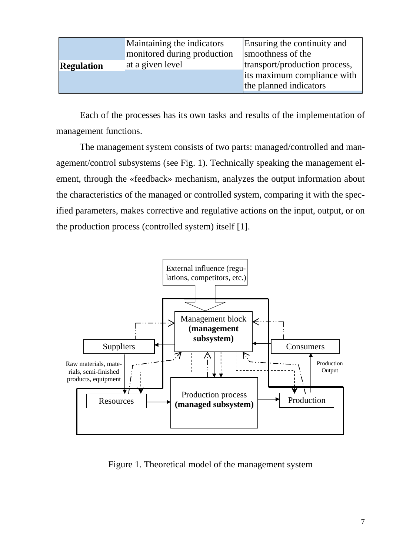|                   | Maintaining the indicators<br>monitored during production | Ensuring the continuity and<br>smoothness of the |
|-------------------|-----------------------------------------------------------|--------------------------------------------------|
| <b>Regulation</b> | at a given level                                          | transport/production process,                    |
|                   |                                                           | its maximum compliance with                      |
|                   |                                                           | the planned indicators                           |
|                   |                                                           |                                                  |

Each of the processes has its own tasks and results of the implementation of management functions.

The management system consists of two parts: managed/controlled and management/control subsystems (see Fig. 1). Technically speaking the management element, through the «feedback» mechanism, analyzes the output information about the characteristics of the managed or controlled system, comparing it with the specified parameters, makes corrective and regulative actions on the input, output, or on the production process (controlled system) itself [1].



Figure 1. Theoretical model of the management system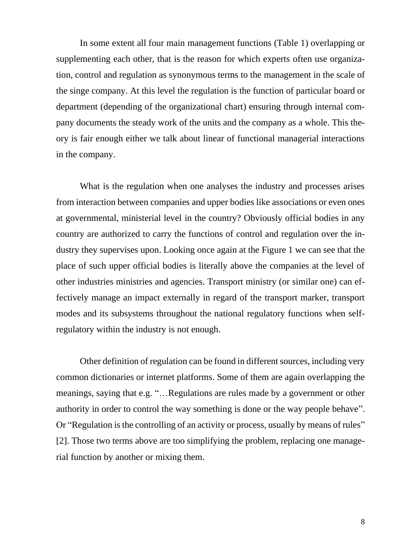In some extent all four main management functions (Table 1) overlapping or supplementing each other, that is the reason for which experts often use organization, control and regulation as synonymous terms to the management in the scale of the singe company. At this level the regulation is the function of particular board or department (depending of the organizational chart) ensuring through internal company documents the steady work of the units and the company as a whole. This theory is fair enough either we talk about linear of functional managerial interactions in the company.

What is the regulation when one analyses the industry and processes arises from interaction between companies and upper bodies like associations or even ones at governmental, ministerial level in the country? Obviously official bodies in any country are authorized to carry the functions of control and regulation over the industry they supervises upon. Looking once again at the Figure 1 we can see that the place of such upper official bodies is literally above the companies at the level of other industries ministries and agencies. Transport ministry (or similar one) can effectively manage an impact externally in regard of the transport marker, transport modes and its subsystems throughout the national regulatory functions when selfregulatory within the industry is not enough.

Other definition of regulation can be found in different sources, including very common dictionaries or internet platforms. Some of them are again overlapping the meanings, saying that e.g. "…Regulations are rules made by a government or other authority in order to control the way something is done or the way people behave". Or "Regulation is the controlling of an activity or process, usually by means of rules" [2]. Those two terms above are too simplifying the problem, replacing one managerial function by another or mixing them.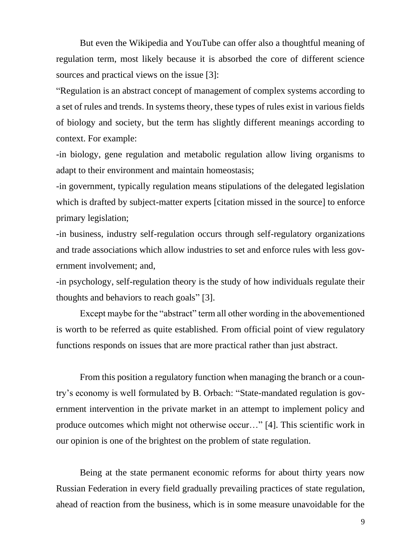But even the Wikipedia and YouTube can offer also a thoughtful meaning of regulation term, most likely because it is absorbed the core of different science sources and practical views on the issue [3]:

"Regulation is an abstract concept of management of complex systems according to a set of rules and trends. In systems theory, these types of rules exist in various fields of biology and society, but the term has slightly different meanings according to context. For example:

-in biology, gene regulation and metabolic regulation allow living organisms to adapt to their environment and maintain homeostasis;

-in government, typically regulation means stipulations of the delegated legislation which is drafted by subject-matter experts [citation missed in the source] to enforce primary legislation;

-in business, industry self-regulation occurs through self-regulatory organizations and trade associations which allow industries to set and enforce rules with less government involvement; and,

-in psychology, self-regulation theory is the study of how individuals regulate their thoughts and behaviors to reach goals" [3].

Except maybe for the "abstract" term all other wording in the abovementioned is worth to be referred as quite established. From official point of view regulatory functions responds on issues that are more practical rather than just abstract.

From this position a regulatory function when managing the branch or a country's economy is well formulated by B. Orbach: "State-mandated regulation is government intervention in the private market in an attempt to implement policy and produce outcomes which might not otherwise occur…" [4]. This scientific work in our opinion is one of the brightest on the problem of state regulation.

Being at the state permanent economic reforms for about thirty years now Russian Federation in every field gradually prevailing practices of state regulation, ahead of reaction from the business, which is in some measure unavoidable for the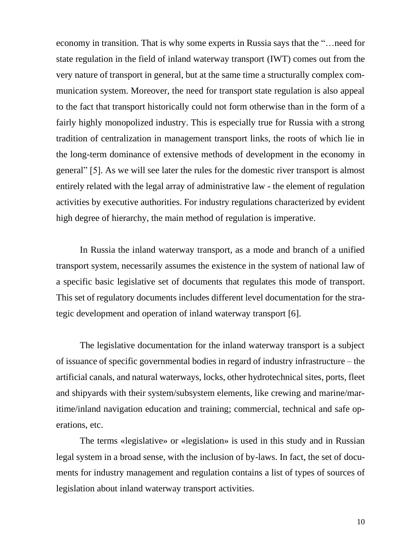economy in transition. That is why some experts in Russia says that the "…need for state regulation in the field of inland waterway transport (IWT) comes out from the very nature of transport in general, but at the same time a structurally complex communication system. Moreover, the need for transport state regulation is also appeal to the fact that transport historically could not form otherwise than in the form of a fairly highly monopolized industry. This is especially true for Russia with a strong tradition of centralization in management transport links, the roots of which lie in the long-term dominance of extensive methods of development in the economy in general" [5]. As we will see later the rules for the domestic river transport is almost entirely related with the legal array of administrative law - the element of regulation activities by executive authorities. For industry regulations characterized by evident high degree of hierarchy, the main method of regulation is imperative.

In Russia the inland waterway transport, as a mode and branch of a unified transport system, necessarily assumes the existence in the system of national law of a specific basic legislative set of documents that regulates this mode of transport. This set of regulatory documents includes different level documentation for the strategic development and operation of inland waterway transport [6].

The legislative documentation for the inland waterway transport is a subject of issuance of specific governmental bodies in regard of industry infrastructure – the artificial canals, and natural waterways, locks, other hydrotechnical sites, ports, fleet and shipyards with their system/subsystem elements, like crewing and marine/maritime/inland navigation education and training; commercial, technical and safe operations, etc.

The terms «legislative» or «legislation» is used in this study and in Russian legal system in a broad sense, with the inclusion of by-laws. In fact, the set of documents for industry management and regulation contains a list of types of sources of legislation about inland waterway transport activities.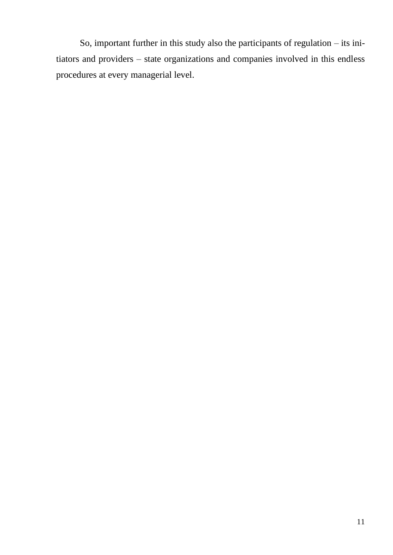So, important further in this study also the participants of regulation – its initiators and providers – state organizations and companies involved in this endless procedures at every managerial level.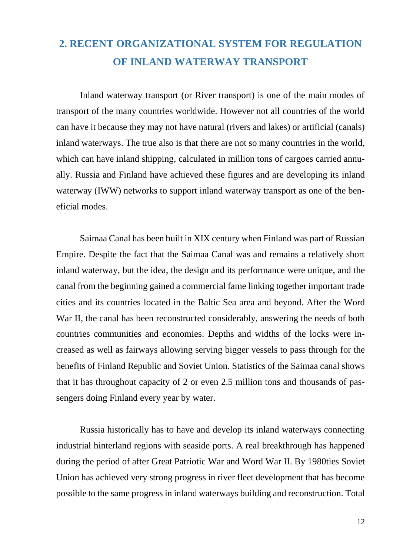#### **2. RECENT ORGANIZATIONAL SYSTEM FOR REGULATION OF INLAND WATERWAY TRANSPORT**

Inland waterway transport (or River transport) is one of the main modes of transport of the many countries worldwide. However not all countries of the world can have it because they may not have natural (rivers and lakes) or artificial (canals) inland waterways. The true also is that there are not so many countries in the world, which can have inland shipping, calculated in million tons of cargoes carried annually. Russia and Finland have achieved these figures and are developing its inland waterway (IWW) networks to support inland waterway transport as one of the beneficial modes.

Saimaa Canal has been built in XIX century when Finland was part of Russian Empire. Despite the fact that the Saimaa Canal was and remains a relatively short inland waterway, but the idea, the design and its performance were unique, and the canal from the beginning gained a commercial fame linking together important trade cities and its countries located in the Baltic Sea area and beyond. After the Word War II, the canal has been reconstructed considerably, answering the needs of both countries communities and economies. Depths and widths of the locks were increased as well as fairways allowing serving bigger vessels to pass through for the benefits of Finland Republic and Soviet Union. Statistics of the Saimaa canal shows that it has throughout capacity of 2 or even 2.5 million tons and thousands of passengers doing Finland every year by water.

Russia historically has to have and develop its inland waterways connecting industrial hinterland regions with seaside ports. A real breakthrough has happened during the period of after Great Patriotic War and Word War II. By 1980ties Soviet Union has achieved very strong progress in river fleet development that has become possible to the same progress in inland waterways building and reconstruction. Total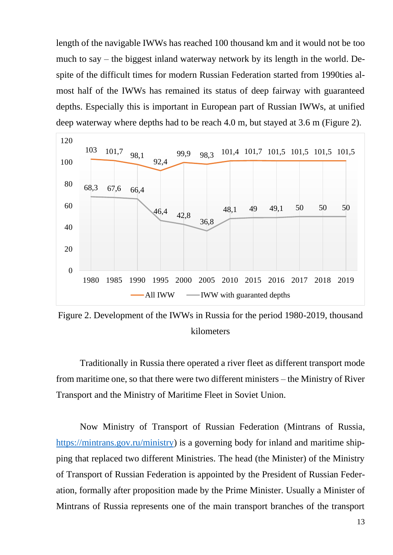length of the navigable IWWs has reached 100 thousand km and it would not be too much to say – the biggest inland waterway network by its length in the world. Despite of the difficult times for modern Russian Federation started from 1990ties almost half of the IWWs has remained its status of deep fairway with guaranteed depths. Especially this is important in European part of Russian IWWs, at unified deep waterway where depths had to be reach 4.0 m, but stayed at 3.6 m (Figure 2).



Figure 2. Development of the IWWs in Russia for the period 1980-2019, thousand kilometers

Traditionally in Russia there operated a river fleet as different transport mode from maritime one, so that there were two different ministers – the Ministry of River Transport and the Ministry of Maritime Fleet in Soviet Union.

Now Ministry of Transport of Russian Federation (Mintrans of Russia, [https://mintrans.gov.ru/ministry\)](https://mintrans.gov.ru/ministry) is a governing body for inland and maritime shipping that replaced two different Ministries. The head (the Minister) of the Ministry of Transport of Russian Federation is appointed by the President of Russian Federation, formally after proposition made by the Prime Minister. Usually a Minister of Mintrans of Russia represents one of the main transport branches of the transport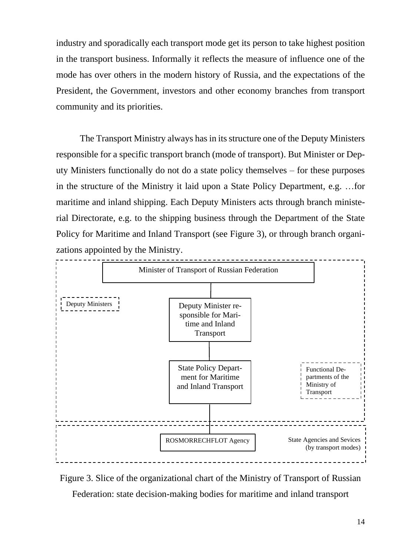industry and sporadically each transport mode get its person to take highest position in the transport business. Informally it reflects the measure of influence one of the mode has over others in the modern history of Russia, and the expectations of the President, the Government, investors and other economy branches from transport community and its priorities.

The Transport Ministry always has in its structure one of the Deputy Ministers responsible for a specific transport branch (mode of transport). But Minister or Deputy Ministers functionally do not do a state policy themselves – for these purposes in the structure of the Ministry it laid upon a State Policy Department, e.g. …for maritime and inland shipping. Each Deputy Ministers acts through branch ministerial Directorate, e.g. to the shipping business through the Department of the State Policy for Maritime and Inland Transport (see Figure 3), or through branch organizations appointed by the Ministry.



Figure 3. Slice of the organizational chart of the Ministry of Transport of Russian

Federation: state decision-making bodies for maritime and inland transport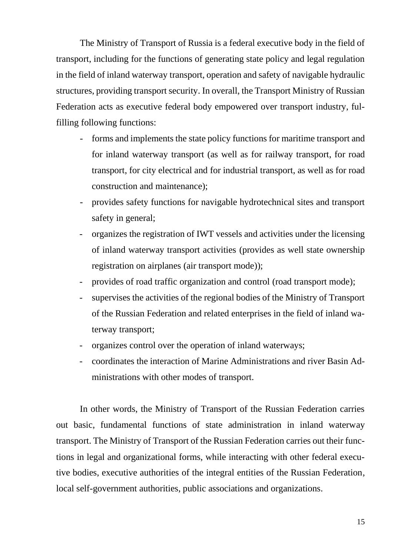The Ministry of Transport of Russia is a federal executive body in the field of transport, including for the functions of generating state policy and legal regulation in the field of inland waterway transport, operation and safety of navigable hydraulic structures, providing transport security. In overall, the Transport Ministry of Russian Federation acts as executive federal body empowered over transport industry, fulfilling following functions:

- forms and implements the state policy functions for maritime transport and for inland waterway transport (as well as for railway transport, for road transport, for city electrical and for industrial transport, as well as for road construction and maintenance);
- provides safety functions for navigable hydrotechnical sites and transport safety in general;
- organizes the registration of IWT vessels and activities under the licensing of inland waterway transport activities (provides as well state ownership registration on airplanes (air transport mode));
- provides of road traffic organization and control (road transport mode);
- supervises the activities of the regional bodies of the Ministry of Transport of the Russian Federation and related enterprises in the field of inland waterway transport;
- organizes control over the operation of inland waterways;
- coordinates the interaction of Marine Administrations and river Basin Administrations with other modes of transport.

In other words, the Ministry of Transport of the Russian Federation carries out basic, fundamental functions of state administration in inland waterway transport. The Ministry of Transport of the Russian Federation carries out their functions in legal and organizational forms, while interacting with other federal executive bodies, executive authorities of the integral entities of the Russian Federation, local self-government authorities, public associations and organizations.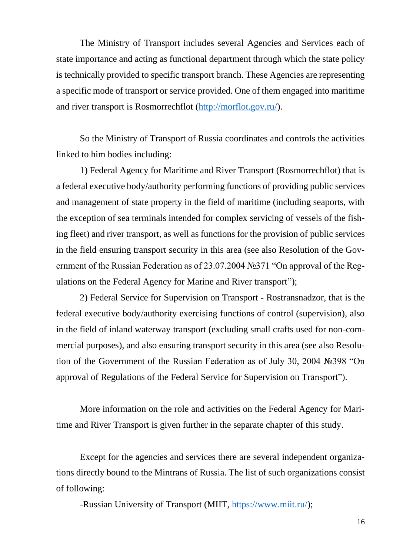The Ministry of Transport includes several Agencies and Services each of state importance and acting as functional department through which the state policy is technically provided to specific transport branch. These Agencies are representing a specific mode of transport or service provided. One of them engaged into maritime and river transport is Rosmorrechflot [\(http://morflot.gov.ru/\)](http://morflot.gov.ru/).

So the Ministry of Transport of Russia coordinates and controls the activities linked to him bodies including:

1) Federal Agency for Maritime and River Transport (Rosmorrechflot) that is a federal executive body/authority performing functions of providing public services and management of state property in the field of maritime (including seaports, with the exception of sea terminals intended for complex servicing of vessels of the fishing fleet) and river transport, as well as functions for the provision of public services in the field ensuring transport security in this area (see also Resolution of the Government of the Russian Federation as of 23.07.2004 №371 "On approval of the Regulations on the Federal Agency for Marine and River transport");

2) Federal Service for Supervision on Transport - Rostransnadzor, that is the federal executive body/authority exercising functions of control (supervision), also in the field of inland waterway transport (excluding small crafts used for non-commercial purposes), and also ensuring transport security in this area (see also Resolution of the Government of the Russian Federation as of July 30, 2004 №398 "On approval of Regulations of the Federal Service for Supervision on Transport").

More information on the role and activities on the Federal Agency for Maritime and River Transport is given further in the separate chapter of this study.

Except for the agencies and services there are several independent organizations directly bound to the Mintrans of Russia. The list of such organizations consist of following:

-Russian University of Transport (MIIT, [https://www.miit.ru/\)](https://www.miit.ru/);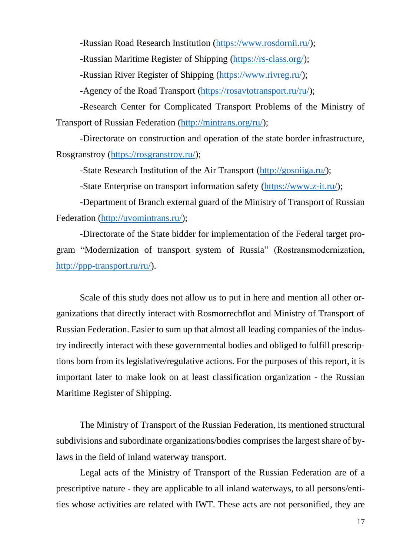-Russian Road Research Institution [\(https://www.rosdornii.ru/\)](https://www.rosdornii.ru/);

-Russian Maritime Register of Shipping [\(https://rs-class.org/\)](https://rs-class.org/);

-Russian River Register of Shipping [\(https://www.rivreg.ru/\)](https://www.rivreg.ru/);

-Agency of the Road Transport [\(https://rosavtotransport.ru/ru/\)](https://rosavtotransport.ru/ru/);

-Research Center for Complicated Transport Problems of the Ministry of Transport of Russian Federation [\(http://mintrans.org/ru/\)](http://mintrans.org/ru/);

-Directorate on construction and operation of the state border infrastructure, Rosgranstroy [\(https://rosgranstroy.ru/\)](https://rosgranstroy.ru/);

-State Research Institution of the Air Transport [\(http://gosniiga.ru/\)](http://gosniiga.ru/);

-State Enterprise on transport information safety [\(https://www.z-it.ru/\)](https://www.z-it.ru/);

-Department of Branch external guard of the Ministry of Transport of Russian Federation [\(http://uvomintrans.ru/\)](http://uvomintrans.ru/);

-Directorate of the State bidder for implementation of the Federal target program "Modernization of transport system of Russia" (Rostransmodernization, [http://ppp-transport.ru/ru/\)](http://ppp-transport.ru/ru/).

Scale of this study does not allow us to put in here and mention all other organizations that directly interact with Rosmorrechflot and Ministry of Transport of Russian Federation. Easier to sum up that almost all leading companies of the industry indirectly interact with these governmental bodies and obliged to fulfill prescriptions born from its legislative/regulative actions. For the purposes of this report, it is important later to make look on at least classification organization - the Russian Maritime Register of Shipping.

The Ministry of Transport of the Russian Federation, its mentioned structural subdivisions and subordinate organizations/bodies comprises the largest share of bylaws in the field of inland waterway transport.

Legal acts of the Ministry of Transport of the Russian Federation are of a prescriptive nature - they are applicable to all inland waterways, to all persons/entities whose activities are related with IWT. These acts are not personified, they are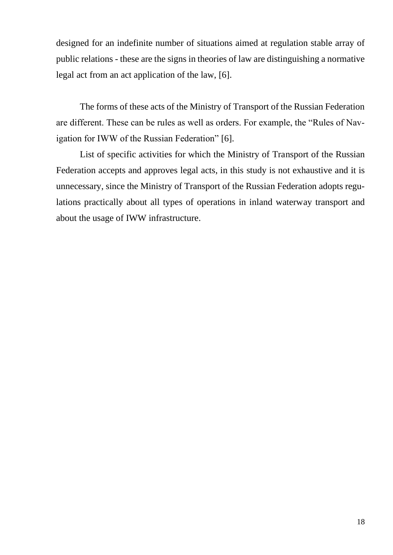designed for an indefinite number of situations aimed at regulation stable array of public relations - these are the signs in theories of law are distinguishing a normative legal act from an act application of the law, [6].

The forms of these acts of the Ministry of Transport of the Russian Federation are different. These can be rules as well as orders. For example, the "Rules of Navigation for IWW of the Russian Federation" [6].

List of specific activities for which the Ministry of Transport of the Russian Federation accepts and approves legal acts, in this study is not exhaustive and it is unnecessary, since the Ministry of Transport of the Russian Federation adopts regulations practically about all types of operations in inland waterway transport and about the usage of IWW infrastructure.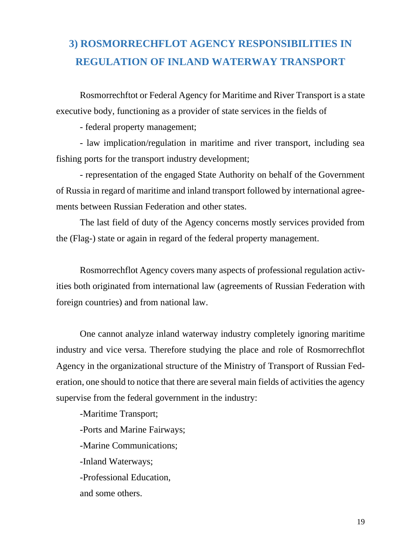#### **3) ROSMORRECHFLOT AGENCY RESPONSIBILITIES IN REGULATION OF INLAND WATERWAY TRANSPORT**

Rosmorrechftot or Federal Agency for Maritime and River Transport is a state executive body, functioning as a provider of state services in the fields of

- federal property management;

- law implication/regulation in maritime and river transport, including sea fishing ports for the transport industry development;

- representation of the engaged State Authority on behalf of the Government of Russia in regard of maritime and inland transport followed by international agreements between Russian Federation and other states.

The last field of duty of the Agency concerns mostly services provided from the (Flag-) state or again in regard of the federal property management.

Rosmorrechflot Agency covers many aspects of professional regulation activities both originated from international law (agreements of Russian Federation with foreign countries) and from national law.

One cannot analyze inland waterway industry completely ignoring maritime industry and vice versa. Therefore studying the place and role of Rosmorrechflot Agency in the organizational structure of the Ministry of Transport of Russian Federation, one should to notice that there are several main fields of activities the agency supervise from the federal government in the industry:

-Maritime Transport; -Ports and Marine Fairways; -Marine Communications; -Inland Waterways; -Professional Education, and some others.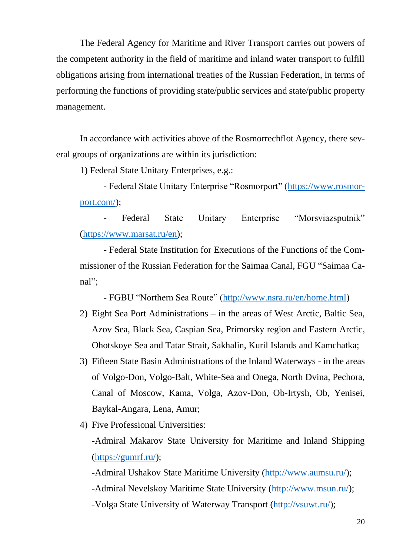The Federal Agency for Maritime and River Transport carries out powers of the competent authority in the field of maritime and inland water transport to fulfill obligations arising from international treaties of the Russian Federation, in terms of performing the functions of providing state/public services and state/public property management.

In accordance with activities above of the Rosmorrechflot Agency, there several groups of organizations are within its jurisdiction:

1) Federal State Unitary Enterprises, e.g.:

- Federal State Unitary Enterprise "Rosmorport" [\(https://www.rosmor](https://www.rosmorport.com/)[port.com/\)](https://www.rosmorport.com/);

Federal State Unitary Enterprise "Morsviazsputnik" [\(https://www.marsat.ru/en\)](https://www.marsat.ru/en);

- Federal State Institution for Executions of the Functions of the Commissioner of the Russian Federation for the Saimaa Canal, FGU "Saimaa Canal";

- FGBU "Northern Sea Route" [\(http://www.nsra.ru/en/home.html\)](http://www.nsra.ru/en/home.html)

- 2) Eight Sea Port Administrations in the areas of West Arctic, Baltic Sea, Azov Sea, Black Sea, Caspian Sea, Primorsky region and Eastern Arctic, Ohotskoye Sea and Tatar Strait, Sakhalin, Kuril Islands and Kamchatka;
- 3) Fifteen State Basin Administrations of the Inland Waterways in the areas of Volgo-Don, Volgo-Balt, White-Sea and Onega, North Dvina, Pechora, Canal of Moscow, Kama, Volga, Azov-Don, Ob-Irtysh, Ob, Yenisei, Baykal-Angara, Lena, Amur;
- 4) Five Professional Universities:

-Admiral Makarov State University for Maritime and Inland Shipping [\(https://gumrf.ru/\)](https://gumrf.ru/);

-Admiral Ushakov State Maritime University [\(http://www.aumsu.ru/\)](http://www.aumsu.ru/);

-Admiral Nevelskoy Maritime State University [\(http://www.msun.ru/\)](http://www.msun.ru/);

-Volga State University of Waterway Transport [\(http://vsuwt.ru/\)](http://vsuwt.ru/);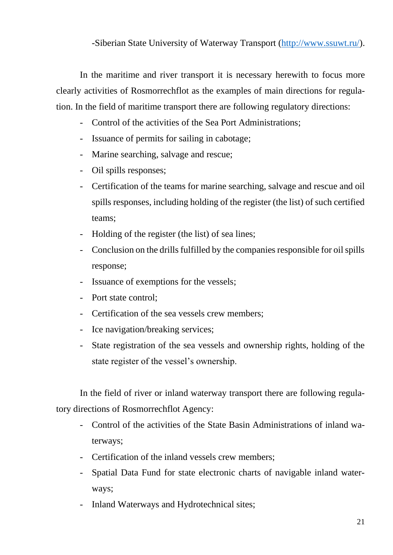#### -Siberian State University of Waterway Transport [\(http://www.ssuwt.ru/\)](http://www.ssuwt.ru/).

In the maritime and river transport it is necessary herewith to focus more clearly activities of Rosmorrechflot as the examples of main directions for regulation. In the field of maritime transport there are following regulatory directions:

- Control of the activities of the Sea Port Administrations;
- Issuance of permits for sailing in cabotage;
- Marine searching, salvage and rescue;
- Oil spills responses;
- Certification of the teams for marine searching, salvage and rescue and oil spills responses, including holding of the register (the list) of such certified teams;
- Holding of the register (the list) of sea lines;
- Conclusion on the drills fulfilled by the companies responsible for oil spills response;
- Issuance of exemptions for the vessels;
- Port state control;
- Certification of the sea vessels crew members;
- Ice navigation/breaking services;
- State registration of the sea vessels and ownership rights, holding of the state register of the vessel's ownership.

In the field of river or inland waterway transport there are following regulatory directions of Rosmorrechflot Agency:

- Control of the activities of the State Basin Administrations of inland waterways;
- Certification of the inland vessels crew members;
- Spatial Data Fund for state electronic charts of navigable inland waterways;
- Inland Waterways and Hydrotechnical sites;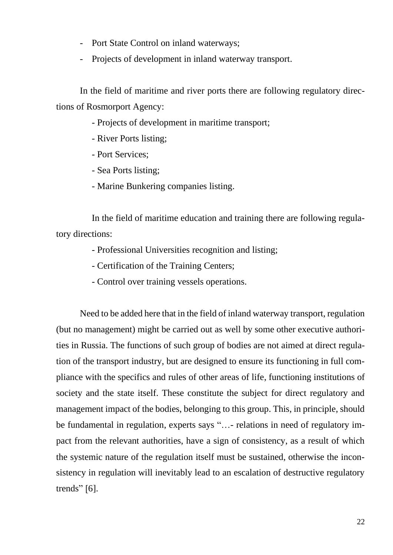- Port State Control on inland waterways;
- Projects of development in inland waterway transport.

In the field of maritime and river ports there are following regulatory directions of Rosmorport Agency:

- Projects of development in maritime transport;
- River Ports listing;
- Port Services;
- Sea Ports listing;
- Marine Bunkering companies listing.

In the field of maritime education and training there are following regulatory directions:

- Professional Universities recognition and listing;
- Certification of the Training Centers;
- Control over training vessels operations.

Need to be added here that in the field of inland waterway transport, regulation (but no management) might be carried out as well by some other executive authorities in Russia. The functions of such group of bodies are not aimed at direct regulation of the transport industry, but are designed to ensure its functioning in full compliance with the specifics and rules of other areas of life, functioning institutions of society and the state itself. These constitute the subject for direct regulatory and management impact of the bodies, belonging to this group. This, in principle, should be fundamental in regulation, experts says "…- relations in need of regulatory impact from the relevant authorities, have a sign of consistency, as a result of which the systemic nature of the regulation itself must be sustained, otherwise the inconsistency in regulation will inevitably lead to an escalation of destructive regulatory trends"  $[6]$ .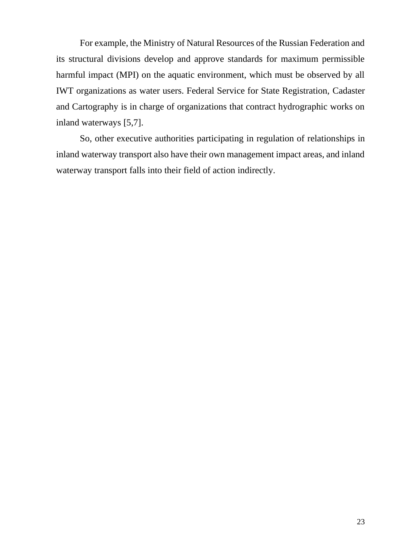For example, the Ministry of Natural Resources of the Russian Federation and its structural divisions develop and approve standards for maximum permissible harmful impact (MPI) on the aquatic environment, which must be observed by all IWT organizations as water users. Federal Service for State Registration, Cadaster and Cartography is in charge of organizations that contract hydrographic works on inland waterways [5,7].

So, other executive authorities participating in regulation of relationships in inland waterway transport also have their own management impact areas, and inland waterway transport falls into their field of action indirectly.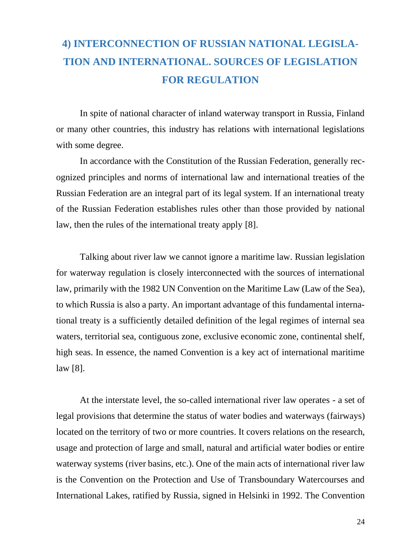### **4) INTERCONNECTION OF RUSSIAN NATIONAL LEGISLA-TION AND INTERNATIONAL. SOURCES OF LEGISLATION FOR REGULATION**

In spite of national character of inland waterway transport in Russia, Finland or many other countries, this industry has relations with international legislations with some degree.

In accordance with the Constitution of the Russian Federation, generally recognized principles and norms of international law and international treaties of the Russian Federation are an integral part of its legal system. If an international treaty of the Russian Federation establishes rules other than those provided by national law, then the rules of the international treaty apply [8].

Talking about river law we cannot ignore a maritime law. Russian legislation for waterway regulation is closely interconnected with the sources of international law, primarily with the 1982 UN Convention on the Maritime Law (Law of the Sea), to which Russia is also a party. An important advantage of this fundamental international treaty is a sufficiently detailed definition of the legal regimes of internal sea waters, territorial sea, contiguous zone, exclusive economic zone, continental shelf, high seas. In essence, the named Convention is a key act of international maritime law [8].

At the interstate level, the so-called international river law operates - a set of legal provisions that determine the status of water bodies and waterways (fairways) located on the territory of two or more countries. It covers relations on the research, usage and protection of large and small, natural and artificial water bodies or entire waterway systems (river basins, etc.). One of the main acts of international river law is the Convention on the Protection and Use of Transboundary Watercourses and International Lakes, ratified by Russia, signed in Helsinki in 1992. The Convention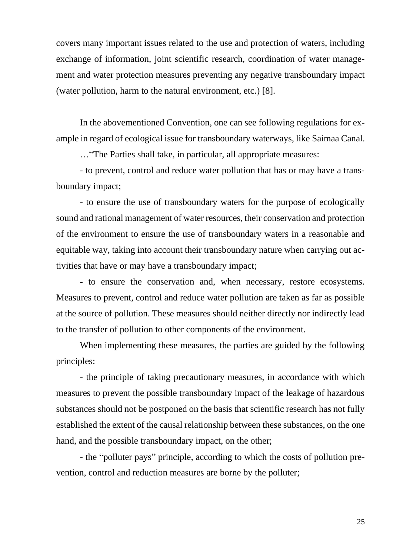covers many important issues related to the use and protection of waters, including exchange of information, joint scientific research, coordination of water management and water protection measures preventing any negative transboundary impact (water pollution, harm to the natural environment, etc.) [8].

In the abovementioned Convention, one can see following regulations for example in regard of ecological issue for transboundary waterways, like Saimaa Canal.

…"The Parties shall take, in particular, all appropriate measures:

- to prevent, control and reduce water pollution that has or may have a transboundary impact;

- to ensure the use of transboundary waters for the purpose of ecologically sound and rational management of water resources, their conservation and protection of the environment to ensure the use of transboundary waters in a reasonable and equitable way, taking into account their transboundary nature when carrying out activities that have or may have a transboundary impact;

- to ensure the conservation and, when necessary, restore ecosystems. Measures to prevent, control and reduce water pollution are taken as far as possible at the source of pollution. These measures should neither directly nor indirectly lead to the transfer of pollution to other components of the environment.

When implementing these measures, the parties are guided by the following principles:

- the principle of taking precautionary measures, in accordance with which measures to prevent the possible transboundary impact of the leakage of hazardous substances should not be postponed on the basis that scientific research has not fully established the extent of the causal relationship between these substances, on the one hand, and the possible transboundary impact, on the other;

- the "polluter pays" principle, according to which the costs of pollution prevention, control and reduction measures are borne by the polluter;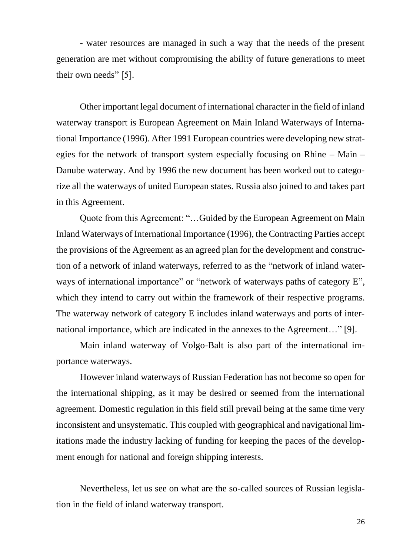- water resources are managed in such a way that the needs of the present generation are met without compromising the ability of future generations to meet their own needs" [5].

Other important legal document of international character in the field of inland waterway transport is European Agreement on Main Inland Waterways of International Importance (1996). After 1991 European countries were developing new strategies for the network of transport system especially focusing on Rhine – Main – Danube waterway. And by 1996 the new document has been worked out to categorize all the waterways of united European states. Russia also joined to and takes part in this Agreement.

Quote from this Agreement: "…Guided by the European Agreement on Main Inland Waterways of International Importance (1996), the Contracting Parties accept the provisions of the Agreement as an agreed plan for the development and construction of a network of inland waterways, referred to as the "network of inland waterways of international importance" or "network of waterways paths of category E", which they intend to carry out within the framework of their respective programs. The waterway network of category E includes inland waterways and ports of international importance, which are indicated in the annexes to the Agreement…" [9].

Main inland waterway of Volgo-Balt is also part of the international importance waterways.

However inland waterways of Russian Federation has not become so open for the international shipping, as it may be desired or seemed from the international agreement. Domestic regulation in this field still prevail being at the same time very inconsistent and unsystematic. This coupled with geographical and navigational limitations made the industry lacking of funding for keeping the paces of the development enough for national and foreign shipping interests.

Nevertheless, let us see on what are the so-called sources of Russian legislation in the field of inland waterway transport.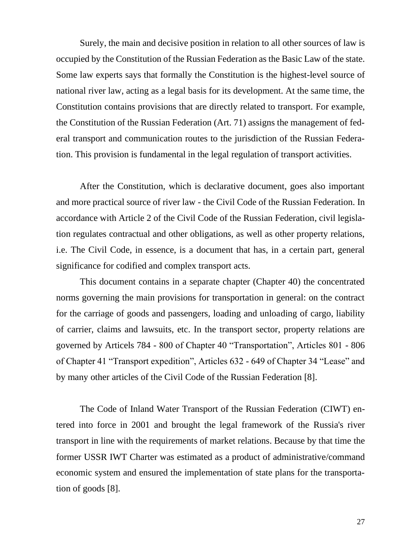Surely, the main and decisive position in relation to all other sources of law is occupied by the Constitution of the Russian Federation as the Basic Law of the state. Some law experts says that formally the Constitution is the highest-level source of national river law, acting as a legal basis for its development. At the same time, the Constitution contains provisions that are directly related to transport. For example, the Constitution of the Russian Federation (Art. 71) assigns the management of federal transport and communication routes to the jurisdiction of the Russian Federation. This provision is fundamental in the legal regulation of transport activities.

After the Constitution, which is declarative document, goes also important and more practical source of river law - the Civil Code of the Russian Federation. In accordance with Article 2 of the Civil Code of the Russian Federation, civil legislation regulates contractual and other obligations, as well as other property relations, i.e. The Civil Code, in essence, is a document that has, in a certain part, general significance for codified and complex transport acts.

This document contains in a separate chapter (Chapter 40) the concentrated norms governing the main provisions for transportation in general: on the contract for the carriage of goods and passengers, loading and unloading of cargo, liability of carrier, claims and lawsuits, etc. In the transport sector, property relations are governed by Articels 784 - 800 of Chapter 40 "Transportation", Articles 801 - 806 of Chapter 41 "Transport expedition", Articles 632 - 649 of Chapter 34 "Lease" and by many other articles of the Civil Code of the Russian Federation [8].

The Code of Inland Water Transport of the Russian Federation (CIWT) entered into force in 2001 and brought the legal framework of the Russia's river transport in line with the requirements of market relations. Because by that time the former USSR IWT Charter was estimated as a product of administrative/command economic system and ensured the implementation of state plans for the transportation of goods [8].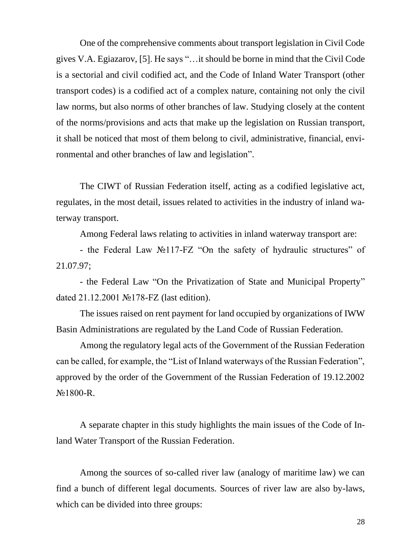One of the comprehensive comments about transport legislation in Civil Code gives V.A. Egiazarov, [5]. He says "…it should be borne in mind that the Civil Code is a sectorial and civil codified act, and the Code of Inland Water Transport (other transport codes) is a codified act of a complex nature, containing not only the civil law norms, but also norms of other branches of law. Studying closely at the content of the norms/provisions and acts that make up the legislation on Russian transport, it shall be noticed that most of them belong to civil, administrative, financial, environmental and other branches of law and legislation".

The CIWT of Russian Federation itself, acting as a codified legislative act, regulates, in the most detail, issues related to activities in the industry of inland waterway transport.

Among Federal laws relating to activities in inland waterway transport are:

- the Federal Law №117-FZ "On the safety of hydraulic structures" of 21.07.97;

- the Federal Law "On the Privatization of State and Municipal Property" dated 21.12.2001 №178-FZ (last edition).

The issues raised on rent payment for land occupied by organizations of IWW Basin Administrations are regulated by the Land Code of Russian Federation.

Among the regulatory legal acts of the Government of the Russian Federation can be called, for example, the "List of Inland waterways of the Russian Federation", approved by the order of the Government of the Russian Federation of 19.12.2002 №1800-R.

A separate chapter in this study highlights the main issues of the Code of Inland Water Transport of the Russian Federation.

Among the sources of so-called river law (analogy of maritime law) we can find a bunch of different legal documents. Sources of river law are also by-laws, which can be divided into three groups: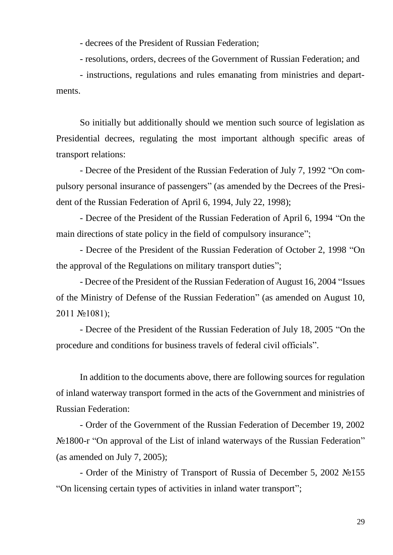- decrees of the President of Russian Federation;

- resolutions, orders, decrees of the Government of Russian Federation; and

- instructions, regulations and rules emanating from ministries and departments.

So initially but additionally should we mention such source of legislation as Presidential decrees, regulating the most important although specific areas of transport relations:

- Decree of the President of the Russian Federation of July 7, 1992 "On compulsory personal insurance of passengers" (as amended by the Decrees of the President of the Russian Federation of April 6, 1994, July 22, 1998);

- Decree of the President of the Russian Federation of April 6, 1994 "On the main directions of state policy in the field of compulsory insurance";

- Decree of the President of the Russian Federation of October 2, 1998 "On the approval of the Regulations on military transport duties";

- Decree of the President of the Russian Federation of August 16, 2004 "Issues of the Ministry of Defense of the Russian Federation" (as amended on August 10, 2011 №1081);

- Decree of the President of the Russian Federation of July 18, 2005 "On the procedure and conditions for business travels of federal civil officials".

In addition to the documents above, there are following sources for regulation of inland waterway transport formed in the acts of the Government and ministries of Russian Federation:

- Order of the Government of the Russian Federation of December 19, 2002 No 1800-r "On approval of the List of inland waterways of the Russian Federation" (as amended on July 7, 2005);

- Order of the Ministry of Transport of Russia of December 5, 2002 №155 "On licensing certain types of activities in inland water transport";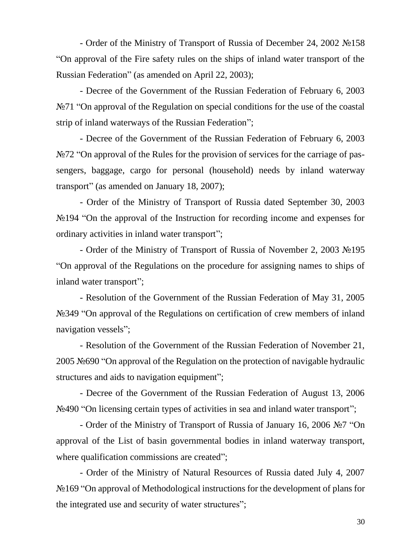- Order of the Ministry of Transport of Russia of December 24, 2002 №158 "On approval of the Fire safety rules on the ships of inland water transport of the Russian Federation" (as amended on April 22, 2003);

- Decree of the Government of the Russian Federation of February 6, 2003 N<sup>o</sup> <sup>2</sup> ™ <sup>o</sup> measure of the Regulation on special conditions for the use of the coastal strip of inland waterways of the Russian Federation";

- Decree of the Government of the Russian Federation of February 6, 2003 N<sup>o</sup> <sup>2</sup> "On approval of the Rules for the provision of services for the carriage of passengers, baggage, cargo for personal (household) needs by inland waterway transport" (as amended on January 18, 2007);

- Order of the Ministry of Transport of Russia dated September 30, 2003 No 194 "On the approval of the Instruction for recording income and expenses for ordinary activities in inland water transport";

- Order of the Ministry of Transport of Russia of November 2, 2003 №195 "On approval of the Regulations on the procedure for assigning names to ships of inland water transport";

- Resolution of the Government of the Russian Federation of May 31, 2005 No 249 "On approval of the Regulations on certification of crew members of inland navigation vessels";

- Resolution of the Government of the Russian Federation of November 21, 2005 №690 "On approval of the Regulation on the protection of navigable hydraulic structures and aids to navigation equipment";

- Decree of the Government of the Russian Federation of August 13, 2006 No 490 "On licensing certain types of activities in sea and inland water transport";

- Order of the Ministry of Transport of Russia of January 16, 2006 №7 "On approval of the List of basin governmental bodies in inland waterway transport, where qualification commissions are created";

- Order of the Ministry of Natural Resources of Russia dated July 4, 2007 No 169 "On approval of Methodological instructions for the development of plans for the integrated use and security of water structures";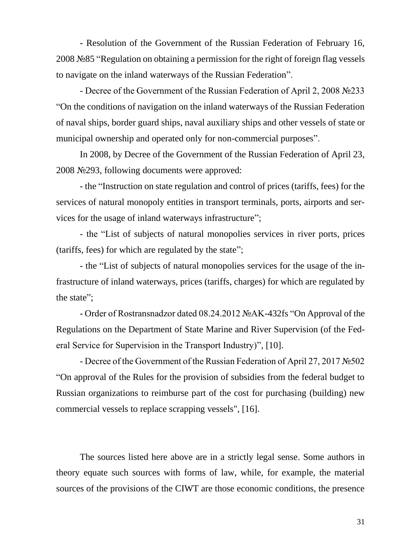- Resolution of the Government of the Russian Federation of February 16, 2008 №85 "Regulation on obtaining a permission for the right of foreign flag vessels to navigate on the inland waterways of the Russian Federation".

- Decree of the Government of the Russian Federation of April 2, 2008 №233 "On the conditions of navigation on the inland waterways of the Russian Federation of naval ships, border guard ships, naval auxiliary ships and other vessels of state or municipal ownership and operated only for non-commercial purposes".

In 2008, by Decree of the Government of the Russian Federation of April 23, 2008 №293, following documents were approved:

- the "Instruction on state regulation and control of prices (tariffs, fees) for the services of natural monopoly entities in transport terminals, ports, airports and services for the usage of inland waterways infrastructure";

- the "List of subjects of natural monopolies services in river ports, prices (tariffs, fees) for which are regulated by the state";

- the "List of subjects of natural monopolies services for the usage of the infrastructure of inland waterways, prices (tariffs, charges) for which are regulated by the state";

- Order of Rostransnadzor dated 08.24.2012 №AK-432fs "On Approval of the Regulations on the Department of State Marine and River Supervision (of the Federal Service for Supervision in the Transport Industry)", [10].

- Decree of the Government of the Russian Federation of April 27, 2017 №502 "On approval of the Rules for the provision of subsidies from the federal budget to Russian organizations to reimburse part of the cost for purchasing (building) new commercial vessels to replace scrapping vessels", [16].

The sources listed here above are in a strictly legal sense. Some authors in theory equate such sources with forms of law, while, for example, the material sources of the provisions of the CIWT are those economic conditions, the presence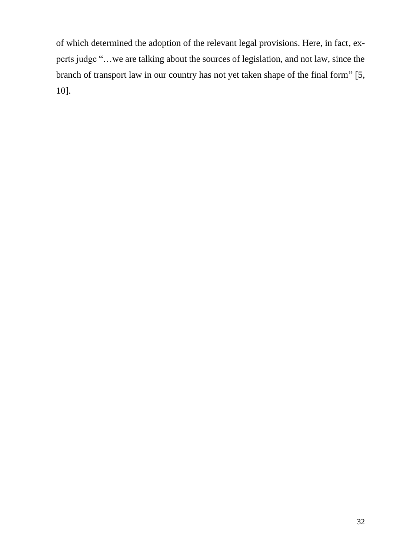of which determined the adoption of the relevant legal provisions. Here, in fact, experts judge "…we are talking about the sources of legislation, and not law, since the branch of transport law in our country has not yet taken shape of the final form" [5, 10].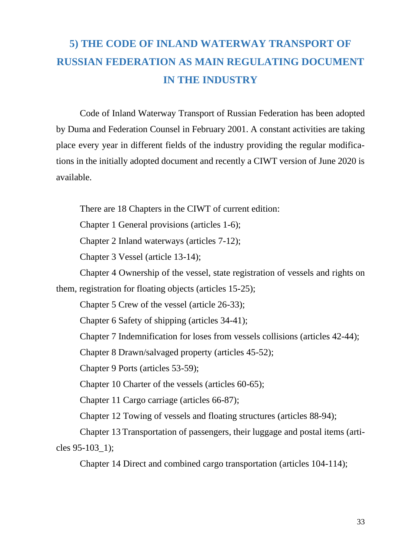### **5) THE CODE OF INLAND WATERWAY TRANSPORT OF RUSSIAN FEDERATION AS MAIN REGULATING DOCUMENT IN THE INDUSTRY**

Code of Inland Waterway Transport of Russian Federation has been adopted by Duma and Federation Counsel in February 2001. A constant activities are taking place every year in different fields of the industry providing the regular modifications in the initially adopted document and recently a CIWT version of June 2020 is available.

There are 18 Chapters in the CIWT of current edition:

Chapter 1 General provisions (articles 1-6);

Chapter 2 Inland waterways (articles 7-12);

Chapter 3 Vessel (article 13-14);

Chapter 4 Ownership of the vessel, state registration of vessels and rights on them, registration for floating objects (articles 15-25);

Chapter 5 Crew of the vessel (article 26-33);

Chapter 6 Safety of shipping (articles 34-41);

Chapter 7 Indemnification for loses from vessels collisions (articles 42-44);

Chapter 8 Drawn/salvaged property (articles 45-52);

Chapter 9 Ports (articles 53-59);

Chapter 10 Charter of the vessels (articles 60-65);

Chapter 11 Cargo carriage (articles 66-87);

Chapter 12 Towing of vessels and floating structures (articles 88-94);

Chapter 13 Transportation of passengers, their luggage and postal items (articles 95-103\_1);

Chapter 14 Direct and combined cargo transportation (articles 104-114);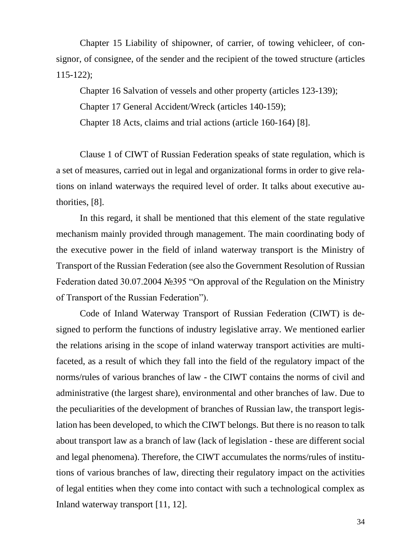Chapter 15 Liability of shipowner, of carrier, of towing vehicleer, of consignor, of consignee, of the sender and the recipient of the towed structure (articles 115-122);

Chapter 16 Salvation of vessels and other property (articles 123-139); Chapter 17 General Accident/Wreck (articles 140-159); Chapter 18 Acts, claims and trial actions (article 160-164) [8].

Clause 1 of CIWT of Russian Federation speaks of state regulation, which is a set of measures, carried out in legal and organizational forms in order to give relations on inland waterways the required level of order. It talks about executive authorities, [8].

In this regard, it shall be mentioned that this element of the state regulative mechanism mainly provided through management. The main coordinating body of the executive power in the field of inland waterway transport is the Ministry of Transport of the Russian Federation (see also the Government Resolution of Russian Federation dated 30.07.2004 №395 "On approval of the Regulation on the Ministry of Transport of the Russian Federation").

Code of Inland Waterway Transport of Russian Federation (CIWT) is designed to perform the functions of industry legislative array. We mentioned earlier the relations arising in the scope of inland waterway transport activities are multifaceted, as a result of which they fall into the field of the regulatory impact of the norms/rules of various branches of law - the CIWT contains the norms of civil and administrative (the largest share), environmental and other branches of law. Due to the peculiarities of the development of branches of Russian law, the transport legislation has been developed, to which the CIWT belongs. But there is no reason to talk about transport law as a branch of law (lack of legislation - these are different social and legal phenomena). Therefore, the CIWT accumulates the norms/rules of institutions of various branches of law, directing their regulatory impact on the activities of legal entities when they come into contact with such a technological complex as Inland waterway transport [11, 12].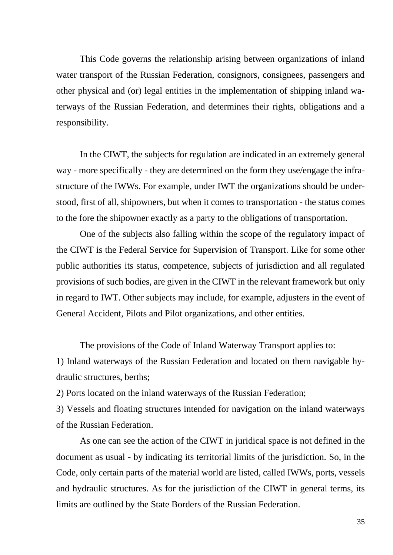This Code governs the relationship arising between organizations of inland water transport of the Russian Federation, consignors, consignees, passengers and other physical and (or) legal entities in the implementation of shipping inland waterways of the Russian Federation, and determines their rights, obligations and a responsibility.

In the CIWT, the subjects for regulation are indicated in an extremely general way - more specifically - they are determined on the form they use/engage the infrastructure of the IWWs. For example, under IWT the organizations should be understood, first of all, shipowners, but when it comes to transportation - the status comes to the fore the shipowner exactly as a party to the obligations of transportation.

One of the subjects also falling within the scope of the regulatory impact of the CIWT is the Federal Service for Supervision of Transport. Like for some other public authorities its status, competence, subjects of jurisdiction and all regulated provisions of such bodies, are given in the CIWT in the relevant framework but only in regard to IWT. Other subjects may include, for example, adjusters in the event of General Accident, Pilots and Pilot organizations, and other entities.

The provisions of the Code of Inland Waterway Transport applies to:

1) Inland waterways of the Russian Federation and located on them navigable hydraulic structures, berths;

2) Ports located on the inland waterways of the Russian Federation;

3) Vessels and floating structures intended for navigation on the inland waterways of the Russian Federation.

As one can see the action of the CIWT in juridical space is not defined in the document as usual - by indicating its territorial limits of the jurisdiction. So, in the Code, only certain parts of the material world are listed, called IWWs, ports, vessels and hydraulic structures. As for the jurisdiction of the CIWT in general terms, its limits are outlined by the State Borders of the Russian Federation.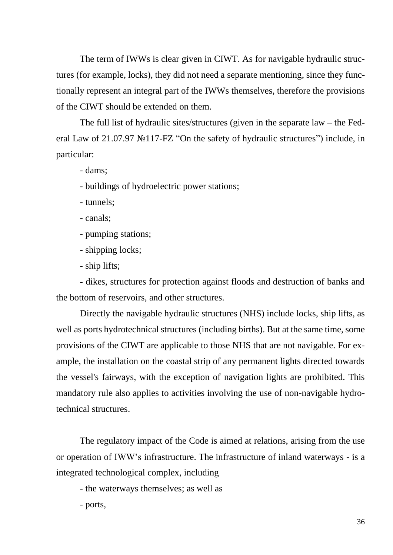The term of IWWs is clear given in CIWT. As for navigable hydraulic structures (for example, locks), they did not need a separate mentioning, since they functionally represent an integral part of the IWWs themselves, therefore the provisions of the CIWT should be extended on them.

The full list of hydraulic sites/structures (given in the separate law – the Federal Law of 21.07.97 №117-FZ "On the safety of hydraulic structures") include, in particular:

- dams;

- buildings of hydroelectric power stations;

- tunnels;

- canals;

- pumping stations;

- shipping locks;

- ship lifts;

- dikes, structures for protection against floods and destruction of banks and the bottom of reservoirs, and other structures.

Directly the navigable hydraulic structures (NHS) include locks, ship lifts, as well as ports hydrotechnical structures (including births). But at the same time, some provisions of the CIWT are applicable to those NHS that are not navigable. For example, the installation on the coastal strip of any permanent lights directed towards the vessel's fairways, with the exception of navigation lights are prohibited. This mandatory rule also applies to activities involving the use of non-navigable hydrotechnical structures.

The regulatory impact of the Code is aimed at relations, arising from the use or operation of IWW's infrastructure. The infrastructure of inland waterways - is a integrated technological complex, including

- the waterways themselves; as well as

- ports,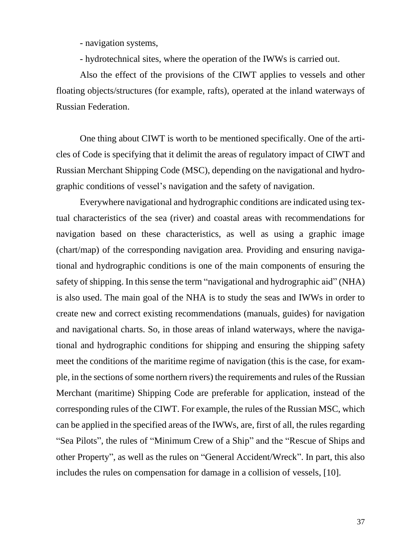- navigation systems,

- hydrotechnical sites, where the operation of the IWWs is carried out.

Also the effect of the provisions of the CIWT applies to vessels and other floating objects/structures (for example, rafts), operated at the inland waterways of Russian Federation.

One thing about CIWT is worth to be mentioned specifically. One of the articles of Code is specifying that it delimit the areas of regulatory impact of CIWT and Russian Merchant Shipping Code (MSC), depending on the navigational and hydrographic conditions of vessel's navigation and the safety of navigation.

Everywhere navigational and hydrographic conditions are indicated using textual characteristics of the sea (river) and coastal areas with recommendations for navigation based on these characteristics, as well as using a graphic image (chart/map) of the corresponding navigation area. Providing and ensuring navigational and hydrographic conditions is one of the main components of ensuring the safety of shipping. In this sense the term "navigational and hydrographic aid" (NHA) is also used. The main goal of the NHA is to study the seas and IWWs in order to create new and correct existing recommendations (manuals, guides) for navigation and navigational charts. So, in those areas of inland waterways, where the navigational and hydrographic conditions for shipping and ensuring the shipping safety meet the conditions of the maritime regime of navigation (this is the case, for example, in the sections of some northern rivers) the requirements and rules of the Russian Merchant (maritime) Shipping Code are preferable for application, instead of the corresponding rules of the CIWT. For example, the rules of the Russian MSC, which can be applied in the specified areas of the IWWs, are, first of all, the rules regarding "Sea Pilots", the rules of "Minimum Crew of a Ship" and the "Rescue of Ships and other Property", as well as the rules on "General Accident/Wreck". In part, this also includes the rules on compensation for damage in a collision of vessels, [10].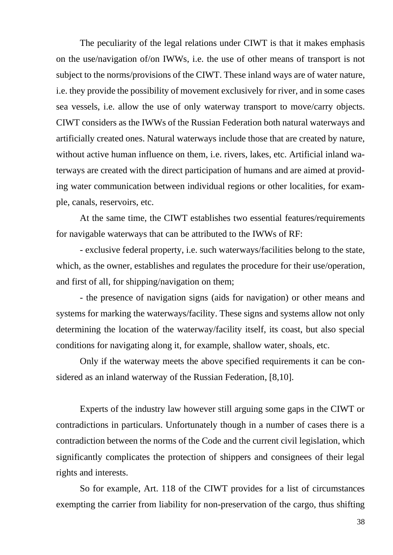The peculiarity of the legal relations under CIWT is that it makes emphasis on the use/navigation of/on IWWs, i.e. the use of other means of transport is not subject to the norms/provisions of the CIWT. These inland ways are of water nature, i.e. they provide the possibility of movement exclusively for river, and in some cases sea vessels, i.e. allow the use of only waterway transport to move/carry objects. CIWT considers as the IWWs of the Russian Federation both natural waterways and artificially created ones. Natural waterways include those that are created by nature, without active human influence on them, i.e. rivers, lakes, etc. Artificial inland waterways are created with the direct participation of humans and are aimed at providing water communication between individual regions or other localities, for example, canals, reservoirs, etc.

At the same time, the CIWT establishes two essential features/requirements for navigable waterways that can be attributed to the IWWs of RF:

- exclusive federal property, i.e. such waterways/facilities belong to the state, which, as the owner, establishes and regulates the procedure for their use/operation, and first of all, for shipping/navigation on them;

- the presence of navigation signs (aids for navigation) or other means and systems for marking the waterways/facility. These signs and systems allow not only determining the location of the waterway/facility itself, its coast, but also special conditions for navigating along it, for example, shallow water, shoals, etc.

Only if the waterway meets the above specified requirements it can be considered as an inland waterway of the Russian Federation, [8,10].

Experts of the industry law however still arguing some gaps in the CIWT or contradictions in particulars. Unfortunately though in a number of cases there is a contradiction between the norms of the Code and the current civil legislation, which significantly complicates the protection of shippers and consignees of their legal rights and interests.

So for example, Art. 118 of the CIWT provides for a list of circumstances exempting the carrier from liability for non-preservation of the cargo, thus shifting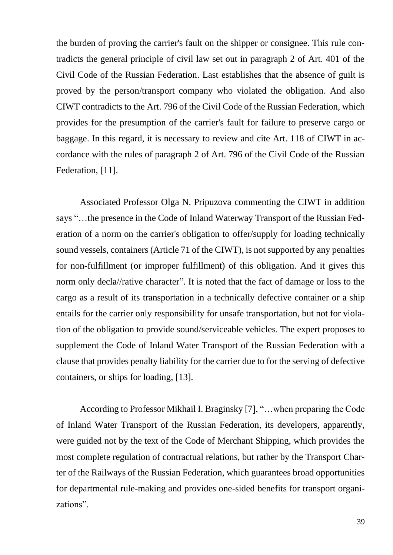the burden of proving the carrier's fault on the shipper or consignee. This rule contradicts the general principle of civil law set out in paragraph 2 of Art. 401 of the Civil Code of the Russian Federation. Last establishes that the absence of guilt is proved by the person/transport company who violated the obligation. And also CIWT contradicts to the Art. 796 of the Civil Code of the Russian Federation, which provides for the presumption of the carrier's fault for failure to preserve cargo or baggage. In this regard, it is necessary to review and cite Art. 118 of CIWT in accordance with the rules of paragraph 2 of Art. 796 of the Civil Code of the Russian Federation, [11].

Associated Professor Olga N. Pripuzova commenting the CIWT in addition says "…the presence in the Code of Inland Waterway Transport of the Russian Federation of a norm on the carrier's obligation to offer/supply for loading technically sound vessels, containers (Article 71 of the CIWT), is not supported by any penalties for non-fulfillment (or improper fulfillment) of this obligation. And it gives this norm only decla//rative character". It is noted that the fact of damage or loss to the cargo as a result of its transportation in a technically defective container or a ship entails for the carrier only responsibility for unsafe transportation, but not for violation of the obligation to provide sound/serviceable vehicles. The expert proposes to supplement the Code of Inland Water Transport of the Russian Federation with a clause that provides penalty liability for the carrier due to for the serving of defective containers, or ships for loading, [13].

According to Professor Mikhail I. Braginsky [7], "…when preparing the Code of Inland Water Transport of the Russian Federation, its developers, apparently, were guided not by the text of the Code of Merchant Shipping, which provides the most complete regulation of contractual relations, but rather by the Transport Charter of the Railways of the Russian Federation, which guarantees broad opportunities for departmental rule-making and provides one-sided benefits for transport organizations".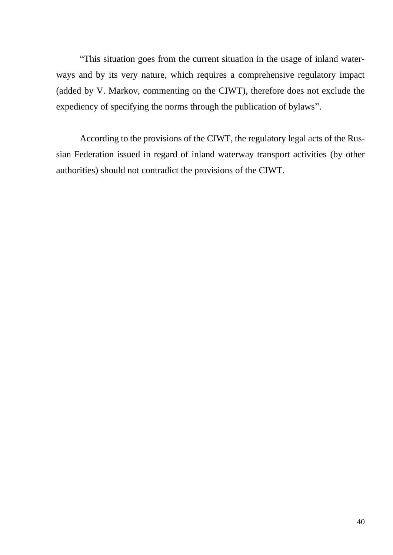"This situation goes from the current situation in the usage of inland waterways and by its very nature, which requires a comprehensive regulatory impact (added by V. Markov, commenting on the CIWT), therefore does not exclude the expediency of specifying the norms through the publication of bylaws".

According to the provisions of the CIWT, the regulatory legal acts of the Russian Federation issued in regard of inland waterway transport activities (by other authorities) should not contradict the provisions of the CIWT.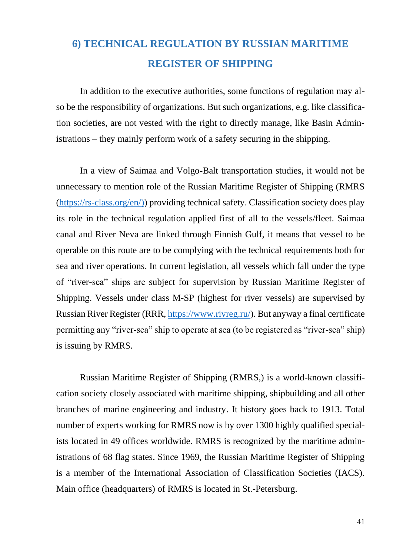## **6) TECHNICAL REGULATION BY RUSSIAN MARITIME REGISTER OF SHIPPING**

In addition to the executive authorities, some functions of regulation may also be the responsibility of organizations. But such organizations, e.g. like classification societies, are not vested with the right to directly manage, like Basin Administrations – they mainly perform work of a safety securing in the shipping.

In a view of Saimaa and Volgo-Balt transportation studies, it would not be unnecessary to mention role of the Russian Maritime Register of Shipping (RMRS [\(https://rs-class.org/en/\)\)](https://rs-class.org/en/)) providing technical safety. Classification society does play its role in the technical regulation applied first of all to the vessels/fleet. Saimaa canal and River Neva are linked through Finnish Gulf, it means that vessel to be operable on this route are to be complying with the technical requirements both for sea and river operations. In current legislation, all vessels which fall under the type of "river-sea" ships are subject for supervision by Russian Maritime Register of Shipping. Vessels under class M-SP (highest for river vessels) are supervised by Russian River Register (RRR, [https://www.rivreg.ru/\)](https://www.rivreg.ru/). But anyway a final certificate permitting any "river-sea" ship to operate at sea (to be registered as "river-sea" ship) is issuing by RMRS.

Russian Maritime Register of Shipping (RMRS,) is a world-known classification society closely associated with maritime shipping, shipbuilding and all other branches of marine engineering and industry. It history goes back to 1913. Total number of experts working for RMRS now is by over 1300 highly qualified specialists located in 49 offices worldwide. RMRS is recognized by the maritime administrations of 68 flag states. Since 1969, the Russian Maritime Register of Shipping is a member of the International Association of Classification Societies (IACS). Main office (headquarters) of RMRS is located in St.-Petersburg.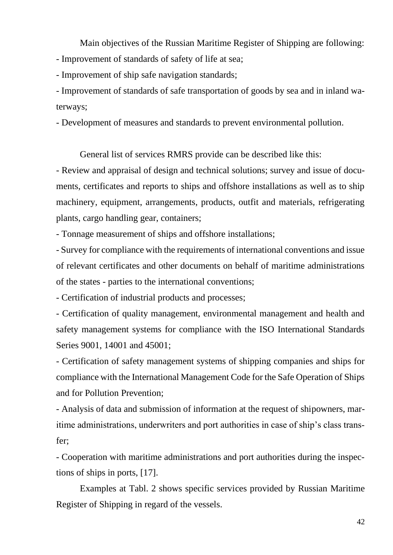Main objectives of the Russian Maritime Register of Shipping are following: - Improvement of standards of safety of life at sea;

- Improvement of ship safe navigation standards;

- Improvement of standards of safe transportation of goods by sea and in inland waterways;

- Development of measures and standards to prevent environmental pollution.

General list of services RMRS provide can be described like this:

- Review and appraisal of design and technical solutions; survey and issue of documents, certificates and reports to ships and offshore installations as well as to ship machinery, equipment, arrangements, products, outfit and materials, refrigerating plants, cargo handling gear, containers;

- Tonnage measurement of ships and offshore installations;

- Survey for compliance with the requirements of international conventions and issue of relevant certificates and other documents on behalf of maritime administrations of the states - parties to the international conventions;

- Certification of industrial products and processes;

- Certification of quality management, environmental management and health and safety management systems for compliance with the ISO International Standards Series 9001, 14001 and 45001;

- Certification of safety management systems of shipping companies and ships for compliance with the International Management Code for the Safe Operation of Ships and for Pollution Prevention;

- Analysis of data and submission of information at the request of shipowners, maritime administrations, underwriters and port authorities in case of ship's class transfer;

- Cooperation with maritime administrations and port authorities during the inspections of ships in ports, [17].

Examples at Tabl. 2 shows specific services provided by Russian Maritime Register of Shipping in regard of the vessels.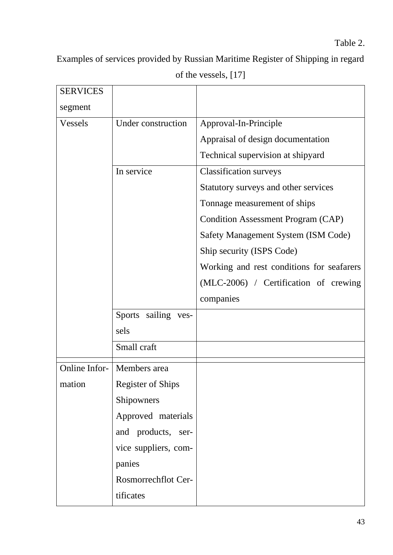Examples of services provided by Russian Maritime Register of Shipping in regard

| <b>SERVICES</b> |                              |                                           |
|-----------------|------------------------------|-------------------------------------------|
| segment         |                              |                                           |
| <b>Vessels</b>  | Under construction           | Approval-In-Principle                     |
|                 |                              | Appraisal of design documentation         |
|                 |                              | Technical supervision at shipyard         |
|                 | In service                   | <b>Classification surveys</b>             |
|                 |                              | Statutory surveys and other services      |
|                 |                              | Tonnage measurement of ships              |
|                 |                              | Condition Assessment Program (CAP)        |
|                 |                              | Safety Management System (ISM Code)       |
|                 |                              | Ship security (ISPS Code)                 |
|                 |                              | Working and rest conditions for seafarers |
|                 |                              | (MLC-2006) / Certification of crewing     |
|                 |                              | companies                                 |
|                 | Sports sailing ves-          |                                           |
|                 | sels                         |                                           |
|                 | Small craft                  |                                           |
|                 | Online Infor-   Members area |                                           |
| mation          | <b>Register of Ships</b>     |                                           |
|                 | Shipowners                   |                                           |
|                 | Approved materials           |                                           |
|                 | and products, ser-           |                                           |
|                 | vice suppliers, com-         |                                           |
|                 | panies                       |                                           |
|                 | Rosmorrechflot Cer-          |                                           |
|                 | tificates                    |                                           |

of the vessels, [17]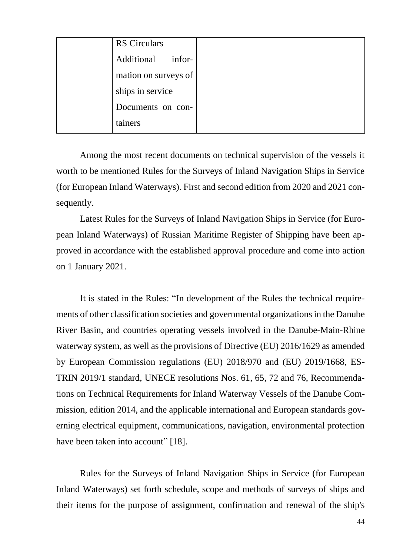|         | <b>RS</b> Circulars  |  |
|---------|----------------------|--|
|         | Additional infor-    |  |
|         | mation on surveys of |  |
|         | ships in service     |  |
|         | Documents on con-    |  |
| tainers |                      |  |

Among the most recent documents on technical supervision of the vessels it worth to be mentioned Rules for the Surveys of Inland Navigation Ships in Service (for European Inland Waterways). First and second edition from 2020 and 2021 consequently.

Latest Rules for the Surveys of Inland Navigation Ships in Service (for European Inland Waterways) of Russian Maritime Register of Shipping have been approved in accordance with the established approval procedure and come into action on 1 January 2021.

It is stated in the Rules: "In development of the Rules the technical requirements of other classification societies and governmental organizations in the Danube River Basin, and countries operating vessels involved in the Danube-Main-Rhine waterway system, as well as the provisions of Directive (EU) 2016/1629 as amended by European Commission regulations (EU) 2018/970 and (EU) 2019/1668, ES-TRIN 2019/1 standard, UNECE resolutions Nos. 61, 65, 72 and 76, Recommendations on Technical Requirements for Inland Waterway Vessels of the Danube Commission, edition 2014, and the applicable international and European standards governing electrical equipment, communications, navigation, environmental protection have been taken into account" [18].

Rules for the Surveys of Inland Navigation Ships in Service (for European Inland Waterways) set forth schedule, scope and methods of surveys of ships and their items for the purpose of assignment, confirmation and renewal of the ship's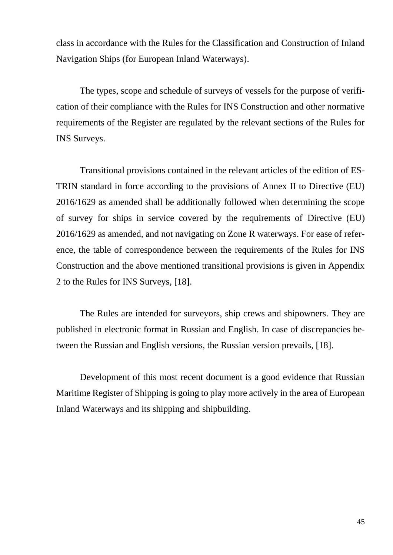class in accordance with the Rules for the Classification and Construction of Inland Navigation Ships (for European Inland Waterways).

The types, scope and schedule of surveys of vessels for the purpose of verification of their compliance with the Rules for INS Construction and other normative requirements of the Register are regulated by the relevant sections of the Rules for INS Surveys.

Transitional provisions contained in the relevant articles of the edition of ES-TRIN standard in force according to the provisions of Annex II to Directive (EU) 2016/1629 as amended shall be additionally followed when determining the scope of survey for ships in service covered by the requirements of Directive (EU) 2016/1629 as amended, and not navigating on Zone R waterways. For ease of reference, the table of correspondence between the requirements of the Rules for INS Construction and the above mentioned transitional provisions is given in Appendix 2 to the Rules for INS Surveys, [18].

The Rules are intended for surveyors, ship crews and shipowners. They are published in electronic format in Russian and English. In case of discrepancies between the Russian and English versions, the Russian version prevails, [18].

Development of this most recent document is a good evidence that Russian Maritime Register of Shipping is going to play more actively in the area of European Inland Waterways and its shipping and shipbuilding.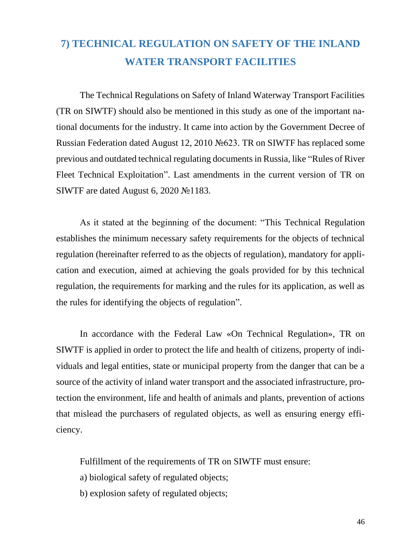### **7) TECHNICAL REGULATION ON SAFETY OF THE INLAND WATER TRANSPORT FACILITIES**

The Technical Regulations on Safety of Inland Waterway Transport Facilities (TR on SIWTF) should also be mentioned in this study as one of the important national documents for the industry. It came into action by the Government Decree of Russian Federation dated August 12, 2010 №623. TR on SIWTF has replaced some previous and outdated technical regulating documents in Russia, like "Rules of River Fleet Technical Exploitation". Last amendments in the current version of TR on SIWTF are dated August 6, 2020 №1183.

As it stated at the beginning of the document: "This Technical Regulation establishes the minimum necessary safety requirements for the objects of technical regulation (hereinafter referred to as the objects of regulation), mandatory for application and execution, aimed at achieving the goals provided for by this technical regulation, the requirements for marking and the rules for its application, as well as the rules for identifying the objects of regulation".

In accordance with the Federal Law «On Technical Regulation», TR on SIWTF is applied in order to protect the life and health of citizens, property of individuals and legal entities, state or municipal property from the danger that can be a source of the activity of inland water transport and the associated infrastructure, protection the environment, life and health of animals and plants, prevention of actions that mislead the purchasers of regulated objects, as well as ensuring energy efficiency.

Fulfillment of the requirements of TR on SIWTF must ensure:

- a) biological safety of regulated objects;
- b) explosion safety of regulated objects;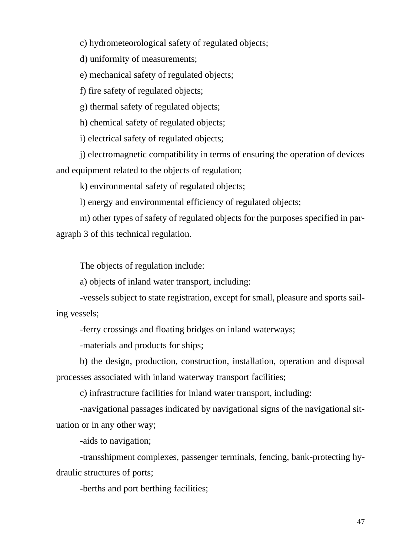c) hydrometeorological safety of regulated objects;

d) uniformity of measurements;

e) mechanical safety of regulated objects;

f) fire safety of regulated objects;

g) thermal safety of regulated objects;

h) chemical safety of regulated objects;

i) electrical safety of regulated objects;

j) electromagnetic compatibility in terms of ensuring the operation of devices and equipment related to the objects of regulation;

k) environmental safety of regulated objects;

l) energy and environmental efficiency of regulated objects;

m) other types of safety of regulated objects for the purposes specified in paragraph 3 of this technical regulation.

The objects of regulation include:

a) objects of inland water transport, including:

-vessels subject to state registration, except for small, pleasure and sports sailing vessels;

-ferry crossings and floating bridges on inland waterways;

-materials and products for ships;

b) the design, production, construction, installation, operation and disposal processes associated with inland waterway transport facilities;

c) infrastructure facilities for inland water transport, including:

-navigational passages indicated by navigational signs of the navigational situation or in any other way;

-aids to navigation;

-transshipment complexes, passenger terminals, fencing, bank-protecting hydraulic structures of ports;

-berths and port berthing facilities;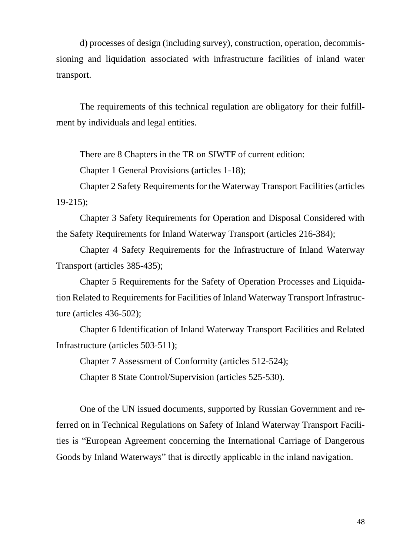d) processes of design (including survey), construction, operation, decommissioning and liquidation associated with infrastructure facilities of inland water transport.

The requirements of this technical regulation are obligatory for their fulfillment by individuals and legal entities.

There are 8 Chapters in the TR on SIWTF of current edition:

Chapter 1 General Provisions (articles 1-18);

Chapter 2 Safety Requirements for the Waterway Transport Facilities (articles 19-215);

Chapter 3 Safety Requirements for Operation and Disposal Considered with the Safety Requirements for Inland Waterway Transport (articles 216-384);

Chapter 4 Safety Requirements for the Infrastructure of Inland Waterway Transport (articles 385-435);

Chapter 5 Requirements for the Safety of Operation Processes and Liquidation Related to Requirements for Facilities of Inland Waterway Transport Infrastructure (articles 436-502);

Chapter 6 Identification of Inland Waterway Transport Facilities and Related Infrastructure (articles 503-511);

Chapter 7 Assessment of Conformity (articles 512-524);

Chapter 8 State Control/Supervision (articles 525-530).

One of the UN issued documents, supported by Russian Government and referred on in Technical Regulations on Safety of Inland Waterway Transport Facilities is "European Agreement concerning the International Carriage of Dangerous Goods by Inland Waterways" that is directly applicable in the inland navigation.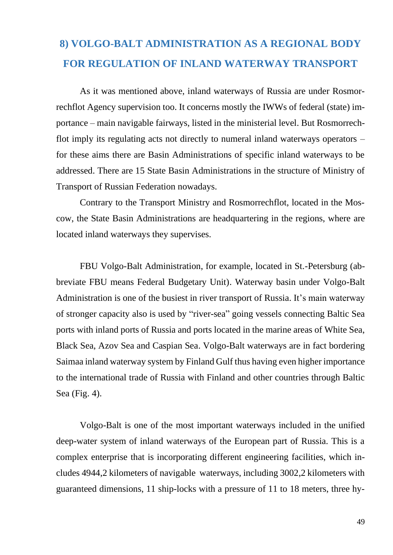### **8) VOLGO-BALT ADMINISTRATION AS A REGIONAL BODY FOR REGULATION OF INLAND WATERWAY TRANSPORT**

As it was mentioned above, inland waterways of Russia are under Rosmorrechflot Agency supervision too. It concerns mostly the IWWs of federal (state) importance – main navigable fairways, listed in the ministerial level. But Rosmorrechflot imply its regulating acts not directly to numeral inland waterways operators – for these aims there are Basin Administrations of specific inland waterways to be addressed. There are 15 State Basin Administrations in the structure of Ministry of Transport of Russian Federation nowadays.

Contrary to the Transport Ministry and Rosmorrechflot, located in the Moscow, the State Basin Administrations are headquartering in the regions, where are located inland waterways they supervises.

FBU Volgo-Balt Administration, for example, located in St.-Petersburg (abbreviate FBU means Federal Budgetary Unit). Waterway basin under Volgo-Balt Administration is one of the busiest in river transport of Russia. It's main waterway of stronger capacity also is used by "river-sea" going vessels connecting Baltic Sea ports with inland ports of Russia and ports located in the marine areas of White Sea, Black Sea, Azov Sea and Caspian Sea. Volgo-Balt waterways are in fact bordering Saimaa inland waterway system by Finland Gulf thus having even higher importance to the international trade of Russia with Finland and other countries through Baltic Sea (Fig. 4).

Volgo-Balt is one of the most important waterways included in the unified deep-water system of inland waterways of the European part of Russia. This is a complex enterprise that is incorporating different engineering facilities, which includes 4944,2 kilometers of navigable waterways, including 3002,2 kilometers with guaranteed dimensions, 11 ship-locks with a pressure of 11 to 18 meters, three hy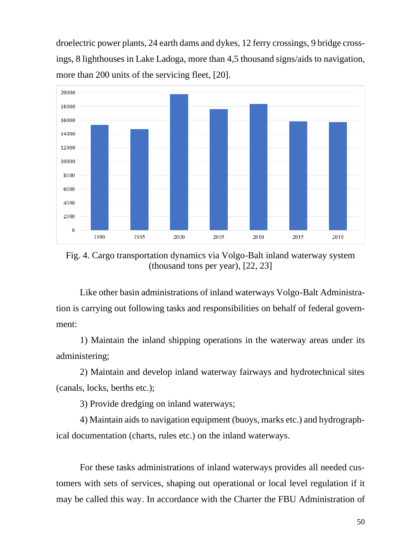droelectric power plants, 24 earth dams and dykes, 12 ferry crossings, 9 bridge crossings, 8 lighthouses in Lake Ladoga, more than 4,5 thousand signs/aids to navigation, more than 200 units of the servicing fleet, [20].



Fig. 4. Cargo transportation dynamics via Volgo-Balt inland waterway system (thousand tons per year), [22, 23]

Like other basin administrations of inland waterways Volgo-Balt Administration is carrying out following tasks and responsibilities on behalf of federal government:

1) Maintain the inland shipping operations in the waterway areas under its administering;

2) Maintain and develop inland waterway fairways and hydrotechnical sites (canals, locks, berths etc.);

3) Provide dredging on inland waterways;

4) Maintain aids to navigation equipment (buoys, marks etc.) and hydrographical documentation (charts, rules etc.) on the inland waterways.

For these tasks administrations of inland waterways provides all needed customers with sets of services, shaping out operational or local level regulation if it may be called this way. In accordance with the Charter the FBU Administration of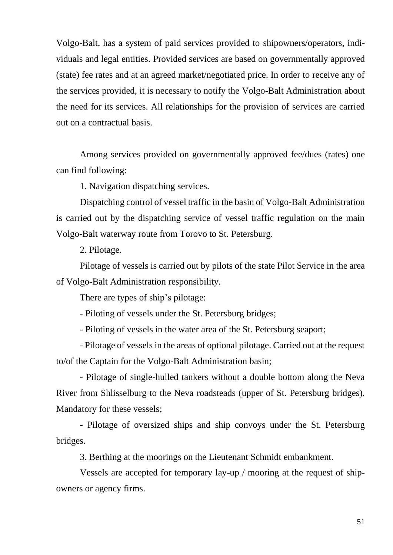Volgo-Balt, has a system of paid services provided to shipowners/operators, individuals and legal entities. Provided services are based on governmentally approved (state) fee rates and at an agreed market/negotiated price. In order to receive any of the services provided, it is necessary to notify the Volgo-Balt Administration about the need for its services. All relationships for the provision of services are carried out on a contractual basis.

Among services provided on governmentally approved fee/dues (rates) one can find following:

1. Navigation dispatching services.

Dispatching control of vessel traffic in the basin of Volgo-Balt Administration is carried out by the dispatching service of vessel traffic regulation on the main Volgo-Balt waterway route from Torovo to St. Petersburg.

2. Pilotage.

Pilotage of vessels is carried out by pilots of the state Pilot Service in the area of Volgo-Balt Administration responsibility.

There are types of ship's pilotage:

- Piloting of vessels under the St. Petersburg bridges;

- Piloting of vessels in the water area of the St. Petersburg seaport;

- Pilotage of vessels in the areas of optional pilotage. Carried out at the request to/of the Captain for the Volgo-Balt Administration basin;

- Pilotage of single-hulled tankers without a double bottom along the Neva River from Shlisselburg to the Neva roadsteads (upper of St. Petersburg bridges). Mandatory for these vessels;

- Pilotage of oversized ships and ship convoys under the St. Petersburg bridges.

3. Berthing at the moorings on the Lieutenant Schmidt embankment.

Vessels are accepted for temporary lay-up / mooring at the request of shipowners or agency firms.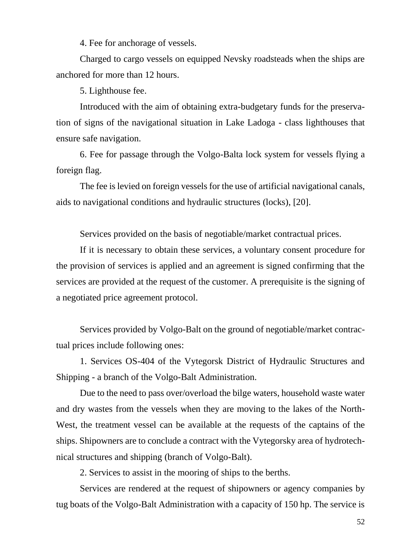4. Fee for anchorage of vessels.

Charged to cargo vessels on equipped Nevsky roadsteads when the ships are anchored for more than 12 hours.

5. Lighthouse fee.

Introduced with the aim of obtaining extra-budgetary funds for the preservation of signs of the navigational situation in Lake Ladoga - class lighthouses that ensure safe navigation.

6. Fee for passage through the Volgo-Balta lock system for vessels flying a foreign flag.

The fee is levied on foreign vessels for the use of artificial navigational canals, aids to navigational conditions and hydraulic structures (locks), [20].

Services provided on the basis of negotiable/market contractual prices.

If it is necessary to obtain these services, a voluntary consent procedure for the provision of services is applied and an agreement is signed confirming that the services are provided at the request of the customer. A prerequisite is the signing of a negotiated price agreement protocol.

Services provided by Volgo-Balt on the ground of negotiable/market contractual prices include following ones:

1. Services OS-404 of the Vytegorsk District of Hydraulic Structures and Shipping - a branch of the Volgo-Balt Administration.

Due to the need to pass over/overload the bilge waters, household waste water and dry wastes from the vessels when they are moving to the lakes of the North-West, the treatment vessel can be available at the requests of the captains of the ships. Shipowners are to conclude a contract with the Vytegorsky area of hydrotechnical structures and shipping (branch of Volgo-Balt).

2. Services to assist in the mooring of ships to the berths.

Services are rendered at the request of shipowners or agency companies by tug boats of the Volgo-Balt Administration with a capacity of 150 hp. The service is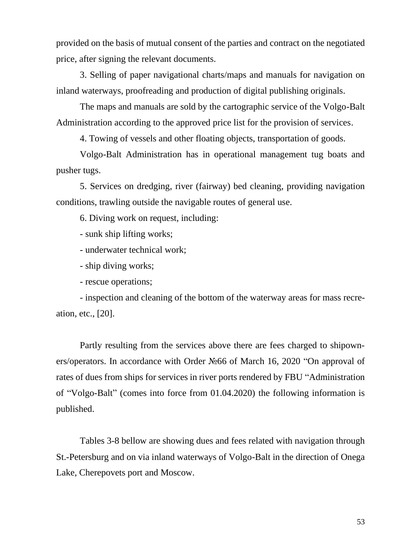provided on the basis of mutual consent of the parties and contract on the negotiated price, after signing the relevant documents.

3. Selling of paper navigational charts/maps and manuals for navigation on inland waterways, proofreading and production of digital publishing originals.

The maps and manuals are sold by the cartographic service of the Volgo-Balt Administration according to the approved price list for the provision of services.

4. Towing of vessels and other floating objects, transportation of goods.

Volgo-Balt Administration has in operational management tug boats and pusher tugs.

5. Services on dredging, river (fairway) bed cleaning, providing navigation conditions, trawling outside the navigable routes of general use.

6. Diving work on request, including:

- sunk ship lifting works;

- underwater technical work;

- ship diving works;

- rescue operations;

- inspection and cleaning of the bottom of the waterway areas for mass recreation, etc., [20].

Partly resulting from the services above there are fees charged to shipowners/operators. In accordance with Order №66 of March 16, 2020 "On approval of rates of dues from ships for services in river ports rendered by FBU "Administration of "Volgo-Balt" (comes into force from 01.04.2020) the following information is published.

Tables 3-8 bellow are showing dues and fees related with navigation through St.-Petersburg and on via inland waterways of Volgo-Balt in the direction of Onega Lake, Cherepovets port and Moscow.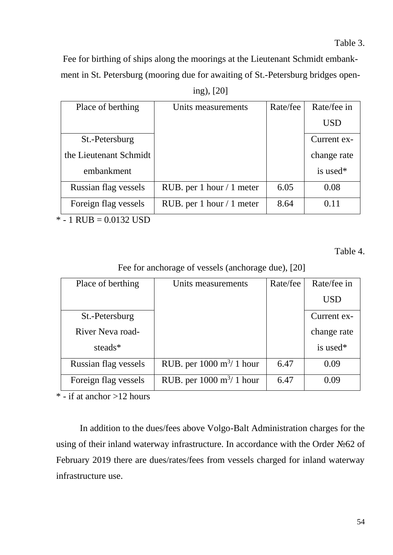Fee for birthing of ships along the moorings at the Lieutenant Schmidt embankment in St. Petersburg (mooring due for awaiting of St.-Petersburg bridges open-

| 1NQ ). | ۰ | 20 |
|--------|---|----|
|        |   |    |

| Place of berthing      | Units measurements          | Rate/fee | Rate/fee in |
|------------------------|-----------------------------|----------|-------------|
|                        |                             |          | <b>USD</b>  |
| St.-Petersburg         |                             |          | Current ex- |
| the Lieutenant Schmidt |                             |          | change rate |
| embankment             |                             |          | is used*    |
| Russian flag vessels   | RUB. per 1 hour $/ 1$ meter | 6.05     | 0.08        |
| Foreign flag vessels   | RUB. per 1 hour $/ 1$ meter | 8.64     | 0.11        |

 $* - 1$  RUB = 0.0132 USD

Table 4.

Fee for anchorage of vessels (anchorage due), [20]

| Place of berthing    | Units measurements                         | Rate/fee | Rate/fee in |
|----------------------|--------------------------------------------|----------|-------------|
|                      |                                            |          | <b>USD</b>  |
| St.-Petersburg       |                                            |          | Current ex- |
| River Neva road-     |                                            |          | change rate |
| steads*              |                                            |          | is used*    |
| Russian flag vessels | RUB. per $1000 \text{ m}^3/1 \text{ hour}$ | 6.47     | 0.09        |
| Foreign flag vessels | RUB. per $1000 \text{ m}^3/1 \text{ hour}$ | 6.47     | 0.09        |

 $*\overline{\phantom{a}}\cdot$  if at anchor >12 hours

In addition to the dues/fees above Volgo-Balt Administration charges for the using of their inland waterway infrastructure. In accordance with the Order №62 of February 2019 there are dues/rates/fees from vessels charged for inland waterway infrastructure use.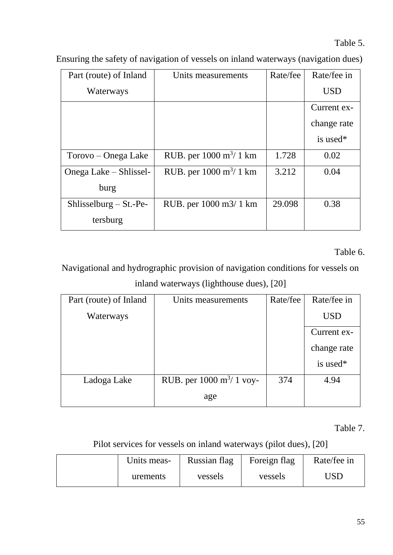Table 5.

| Part (route) of Inland   | Units measurements                       | Rate/fee | Rate/fee in |
|--------------------------|------------------------------------------|----------|-------------|
| Waterways                |                                          |          | <b>USD</b>  |
|                          |                                          |          | Current ex- |
|                          |                                          |          | change rate |
|                          |                                          |          | is used*    |
| Torovo – Onega Lake      | RUB. per $1000 \text{ m}^3/1 \text{ km}$ | 1.728    | 0.02        |
| Onega Lake – Shlissel-   | RUB. per $1000 \text{ m}^3/1 \text{ km}$ | 3.212    | 0.04        |
| burg                     |                                          |          |             |
| $Shlisselburg - St.-Pe-$ | RUB. per 1000 m3/ 1 km                   | 29.098   | 0.38        |
| tersburg                 |                                          |          |             |

Ensuring the safety of navigation of vessels on inland waterways (navigation dues)

Table 6.

Navigational and hydrographic provision of navigation conditions for vessels on inland waterways (lighthouse dues), [20]

| Part (route) of Inland | Units measurements                          | Rate/fee | Rate/fee in |
|------------------------|---------------------------------------------|----------|-------------|
| Waterways              |                                             |          | <b>USD</b>  |
|                        |                                             |          | Current ex- |
|                        |                                             |          | change rate |
|                        |                                             |          | is used*    |
| Ladoga Lake            | RUB. per $1000 \text{ m}^3/1 \text{ voy}$ - | 374      | 4.94        |
|                        | age                                         |          |             |

Table 7.

Pilot services for vessels on inland waterways (pilot dues), [20]

| Units meas- | Russian flag | Foreign flag | Rate/fee in |
|-------------|--------------|--------------|-------------|
| urements    | vessels      | vessels      | JSD         |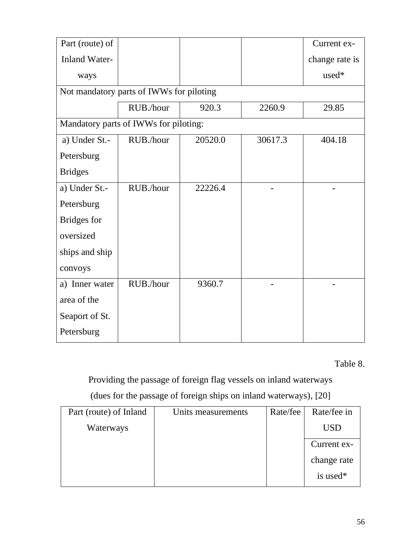| Part (route) of      |                                          |         |         | Current ex-    |
|----------------------|------------------------------------------|---------|---------|----------------|
| <b>Inland Water-</b> |                                          |         |         | change rate is |
| ways                 |                                          |         |         | used*          |
|                      | Not mandatory parts of IWWs for piloting |         |         |                |
|                      | RUB./hour                                | 920.3   | 2260.9  | 29.85          |
|                      | Mandatory parts of IWWs for piloting:    |         |         |                |
| a) Under St.-        | RUB./hour                                | 20520.0 | 30617.3 | 404.18         |
| Petersburg           |                                          |         |         |                |
| <b>Bridges</b>       |                                          |         |         |                |
| a) Under St.-        | RUB./hour                                | 22226.4 |         |                |
| Petersburg           |                                          |         |         |                |
| Bridges for          |                                          |         |         |                |
| oversized            |                                          |         |         |                |
| ships and ship       |                                          |         |         |                |
| convoys              |                                          |         |         |                |
| a) Inner water       | RUB./hour                                | 9360.7  |         |                |
| area of the          |                                          |         |         |                |
| Seaport of St.       |                                          |         |         |                |
| Petersburg           |                                          |         |         |                |

Table 8.

# Providing the passage of foreign flag vessels on inland waterways

#### (dues for the passage of foreign ships on inland waterways), [20]

| Part (route) of Inland | Units measurements | Rate/fee | Rate/fee in          |
|------------------------|--------------------|----------|----------------------|
| Waterways              |                    |          | <b>USD</b>           |
|                        |                    |          | Current ex-          |
|                        |                    |          | change rate          |
|                        |                    |          | is used <sup>*</sup> |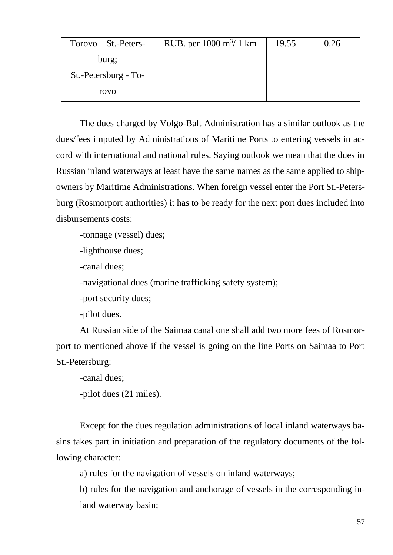| $Torovo - St.-Peters-$ | RUB. per $1000 \text{ m}^3/1 \text{ km}$ | 19.55 | 0.26 |
|------------------------|------------------------------------------|-------|------|
| burg;                  |                                          |       |      |
| St.-Petersburg - To-   |                                          |       |      |
| rovo                   |                                          |       |      |

The dues charged by Volgo-Balt Administration has a similar outlook as the dues/fees imputed by Administrations of Maritime Ports to entering vessels in accord with international and national rules. Saying outlook we mean that the dues in Russian inland waterways at least have the same names as the same applied to shipowners by Maritime Administrations. When foreign vessel enter the Port St.-Petersburg (Rosmorport authorities) it has to be ready for the next port dues included into disbursements costs:

-tonnage (vessel) dues;

-lighthouse dues;

-canal dues;

-navigational dues (marine trafficking safety system);

-port security dues;

-pilot dues.

At Russian side of the Saimaa canal one shall add two more fees of Rosmorport to mentioned above if the vessel is going on the line Ports on Saimaa to Port St.-Petersburg:

-canal dues;

-pilot dues (21 miles).

Except for the dues regulation administrations of local inland waterways basins takes part in initiation and preparation of the regulatory documents of the following character:

a) rules for the navigation of vessels on inland waterways;

b) rules for the navigation and anchorage of vessels in the corresponding inland waterway basin;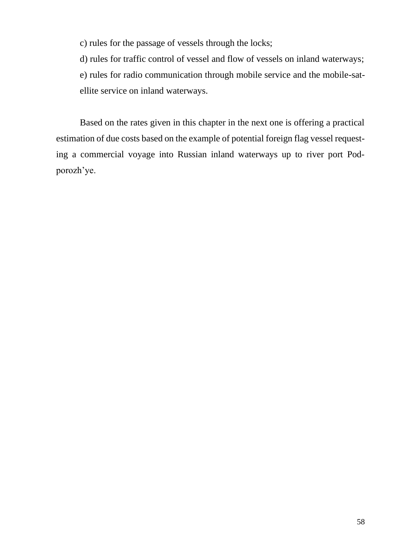c) rules for the passage of vessels through the locks;

d) rules for traffic control of vessel and flow of vessels on inland waterways;

e) rules for radio communication through mobile service and the mobile-satellite service on inland waterways.

Based on the rates given in this chapter in the next one is offering a practical estimation of due costs based on the example of potential foreign flag vessel requesting a commercial voyage into Russian inland waterways up to river port Podporozh'ye.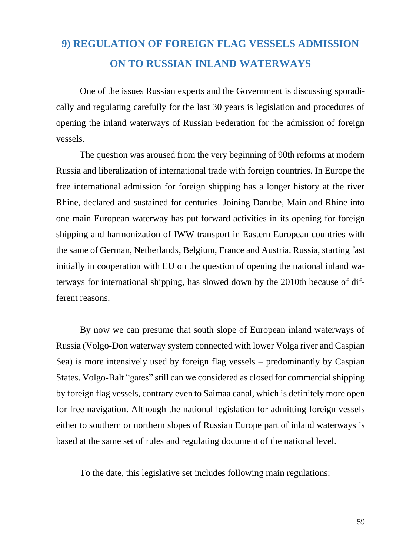## **9) REGULATION OF FOREIGN FLAG VESSELS ADMISSION ON TO RUSSIAN INLAND WATERWAYS**

One of the issues Russian experts and the Government is discussing sporadically and regulating carefully for the last 30 years is legislation and procedures of opening the inland waterways of Russian Federation for the admission of foreign vessels.

The question was aroused from the very beginning of 90th reforms at modern Russia and liberalization of international trade with foreign countries. In Europe the free international admission for foreign shipping has a longer history at the river Rhine, declared and sustained for centuries. Joining Danube, Main and Rhine into one main European waterway has put forward activities in its opening for foreign shipping and harmonization of IWW transport in Eastern European countries with the same of German, Netherlands, Belgium, France and Austria. Russia, starting fast initially in cooperation with EU on the question of opening the national inland waterways for international shipping, has slowed down by the 2010th because of different reasons.

By now we can presume that south slope of European inland waterways of Russia (Volgo-Don waterway system connected with lower Volga river and Caspian Sea) is more intensively used by foreign flag vessels – predominantly by Caspian States. Volgo-Balt "gates" still can we considered as closed for commercial shipping by foreign flag vessels, contrary even to Saimaa canal, which is definitely more open for free navigation. Although the national legislation for admitting foreign vessels either to southern or northern slopes of Russian Europe part of inland waterways is based at the same set of rules and regulating document of the national level.

To the date, this legislative set includes following main regulations: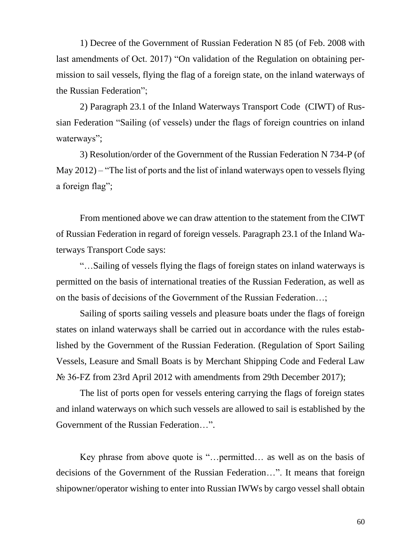1) Decree of the Government of Russian Federation N 85 (of Feb. 2008 with last amendments of Oct. 2017) "On validation of the Regulation on obtaining permission to sail vessels, flying the flag of a foreign state, on the inland waterways of the Russian Federation";

2) Paragraph 23.1 of the Inland Waterways Transport Code (CIWT) of Russian Federation "Sailing (of vessels) under the flags of foreign countries on inland waterways";

3) Resolution/order of the Government of the Russian Federation N 734-P (of May 2012) – "The list of ports and the list of inland waterways open to vessels flying a foreign flag";

From mentioned above we can draw attention to the statement from the CIWT of Russian Federation in regard of foreign vessels. Paragraph 23.1 of the Inland Waterways Transport Code says:

"…Sailing of vessels flying the flags of foreign states on inland waterways is permitted on the basis of international treaties of the Russian Federation, as well as on the basis of decisions of the Government of the Russian Federation…;

Sailing of sports sailing vessels and pleasure boats under the flags of foreign states on inland waterways shall be carried out in accordance with the rules established by the Government of the Russian Federation. (Regulation of Sport Sailing Vessels, Leasure and Small Boats is by Merchant Shipping Code and Federal Law № 36-FZ from 23rd April 2012 with amendments from 29th December 2017);

The list of ports open for vessels entering carrying the flags of foreign states and inland waterways on which such vessels are allowed to sail is established by the Government of the Russian Federation…".

Key phrase from above quote is "…permitted… as well as on the basis of decisions of the Government of the Russian Federation…". It means that foreign shipowner/operator wishing to enter into Russian IWWs by cargo vessel shall obtain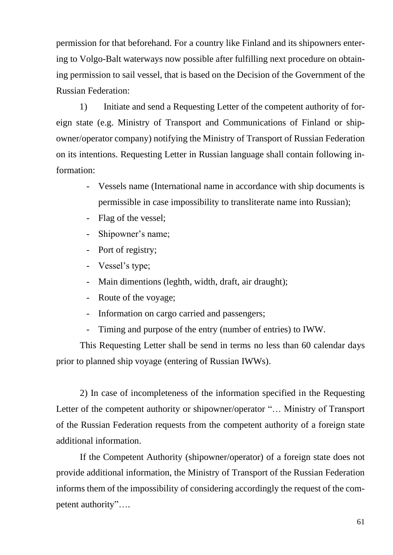permission for that beforehand. For a country like Finland and its shipowners entering to Volgo-Balt waterways now possible after fulfilling next procedure on obtaining permission to sail vessel, that is based on the Decision of the Government of the Russian Federation:

1) Initiate and send a Requesting Letter of the competent authority of foreign state (e.g. Ministry of Transport and Communications of Finland or shipowner/operator company) notifying the Ministry of Transport of Russian Federation on its intentions. Requesting Letter in Russian language shall contain following information:

- Vessels name (International name in accordance with ship documents is permissible in case impossibility to transliterate name into Russian);
- Flag of the vessel;
- Shipowner's name;
- Port of registry;
- Vessel's type;
- Main dimentions (leghth, width, draft, air draught);
- Route of the voyage;
- Information on cargo carried and passengers;
- Timing and purpose of the entry (number of entries) to IWW.

This Requesting Letter shall be send in terms no less than 60 calendar days prior to planned ship voyage (entering of Russian IWWs).

2) In case of incompleteness of the information specified in the Requesting Letter of the competent authority or shipowner/operator "… Ministry of Transport of the Russian Federation requests from the competent authority of a foreign state additional information.

If the Competent Authority (shipowner/operator) of a foreign state does not provide additional information, the Ministry of Transport of the Russian Federation informs them of the impossibility of considering accordingly the request of the competent authority"….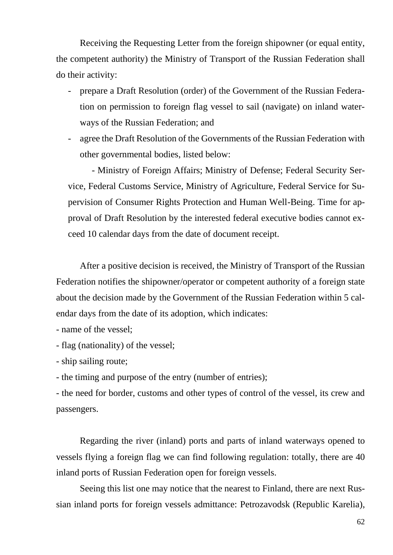Receiving the Requesting Letter from the foreign shipowner (or equal entity, the competent authority) the Ministry of Transport of the Russian Federation shall do their activity:

- prepare a Draft Resolution (order) of the Government of the Russian Federation on permission to foreign flag vessel to sail (navigate) on inland waterways of the Russian Federation; and
- agree the Draft Resolution of the Governments of the Russian Federation with other governmental bodies, listed below:

- Ministry of Foreign Affairs; Ministry of Defense; Federal Security Service, Federal Customs Service, Ministry of Agriculture, Federal Service for Supervision of Consumer Rights Protection and Human Well-Being. Time for approval of Draft Resolution by the interested federal executive bodies cannot exceed 10 calendar days from the date of document receipt.

After a positive decision is received, the Ministry of Transport of the Russian Federation notifies the shipowner/operator or competent authority of a foreign state about the decision made by the Government of the Russian Federation within 5 calendar days from the date of its adoption, which indicates:

- name of the vessel;

- flag (nationality) of the vessel;

- ship sailing route;

- the timing and purpose of the entry (number of entries);

- the need for border, customs and other types of control of the vessel, its crew and passengers.

Regarding the river (inland) ports and parts of inland waterways opened to vessels flying a foreign flag we can find following regulation: totally, there are 40 inland ports of Russian Federation open for foreign vessels.

Seeing this list one may notice that the nearest to Finland, there are next Russian inland ports for foreign vessels admittance: Petrozavodsk (Republic Karelia),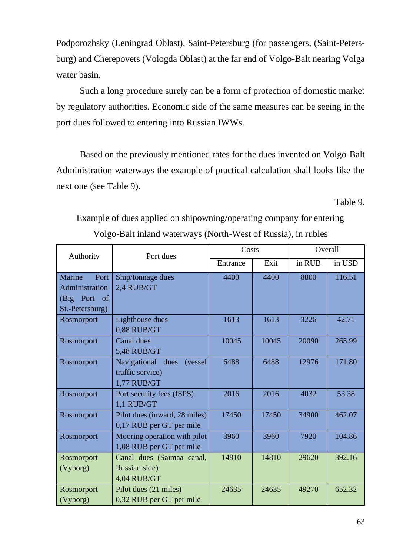Podporozhsky (Leningrad Oblast), Saint-Petersburg (for passengers, (Saint-Petersburg) and Cherepovets (Vologda Oblast) at the far end of Volgo-Balt nearing Volga water basin.

Such a long procedure surely can be a form of protection of domestic market by regulatory authorities. Economic side of the same measures can be seeing in the port dues followed to entering into Russian IWWs.

Based on the previously mentioned rates for the dues invented on Volgo-Balt Administration waterways the example of practical calculation shall looks like the next one (see Table 9).

Table 9.

Example of dues applied on shipowning/operating company for entering Volgo-Balt inland waterways (North-West of Russia), in rubles

| Authority                                                                         | Port dues                                                       | Costs    |       | Overall |        |
|-----------------------------------------------------------------------------------|-----------------------------------------------------------------|----------|-------|---------|--------|
|                                                                                   |                                                                 | Entrance | Exit  | in RUB  | in USD |
| Marine<br>Port<br>Administration<br>(Big Port<br><sub>of</sub><br>St.-Petersburg) | Ship/tonnage dues<br>2,4 RUB/GT                                 | 4400     | 4400  | 8800    | 116.51 |
| Rosmorport                                                                        | Lighthouse dues<br>0,88 RUB/GT                                  | 1613     | 1613  | 3226    | 42.71  |
| Rosmorport                                                                        | Canal dues<br><b>5,48 RUB/GT</b>                                | 10045    | 10045 | 20090   | 265.99 |
| Rosmorport                                                                        | Navigational dues<br>(vessel<br>traffic service)<br>1,77 RUB/GT | 6488     | 6488  | 12976   | 171.80 |
| Rosmorport                                                                        | Port security fees (ISPS)<br>1,1 RUB/GT                         | 2016     | 2016  | 4032    | 53.38  |
| Rosmorport                                                                        | Pilot dues (inward, 28 miles)<br>0,17 RUB per GT per mile       | 17450    | 17450 | 34900   | 462.07 |
| Rosmorport                                                                        | Mooring operation with pilot<br>1,08 RUB per GT per mile        | 3960     | 3960  | 7920    | 104.86 |
| Rosmorport<br>(Vyborg)                                                            | Canal dues (Saimaa canal,<br>Russian side)<br>4,04 RUB/GT       | 14810    | 14810 | 29620   | 392.16 |
| Rosmorport<br>(Vyborg)                                                            | Pilot dues (21 miles)<br>0,32 RUB per GT per mile               | 24635    | 24635 | 49270   | 652.32 |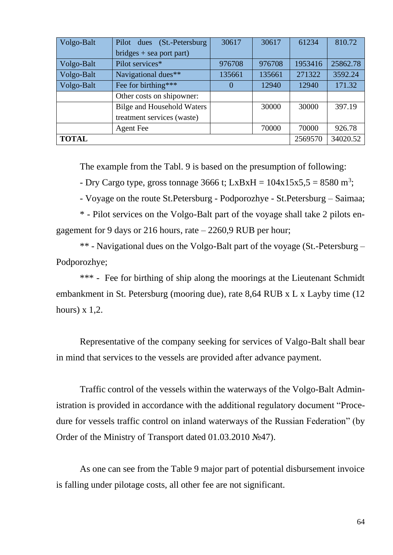| Volgo-Balt   | Pilot dues (St.-Petersburg)       | 30617  | 30617   | 61234    | 810.72   |
|--------------|-----------------------------------|--------|---------|----------|----------|
|              | $bridges + sea port part)$        |        |         |          |          |
| Volgo-Balt   | Pilot services*                   | 976708 | 976708  | 1953416  | 25862.78 |
| Volgo-Balt   | Navigational dues**               | 135661 | 135661  | 271322   | 3592.24  |
| Volgo-Balt   | Fee for birthing***               | 0      | 12940   | 12940    | 171.32   |
|              | Other costs on shipowner:         |        |         |          |          |
|              | <b>Bilge and Household Waters</b> |        | 30000   | 30000    | 397.19   |
|              | treatment services (waste)        |        |         |          |          |
|              | <b>Agent Fee</b>                  |        | 70000   | 70000    | 926.78   |
| <b>TOTAL</b> |                                   |        | 2569570 | 34020.52 |          |

The example from the Tabl. 9 is based on the presumption of following:

- Dry Cargo type, gross tonnage 3666 t; LxBxH =  $104x15x5,5 = 8580$  m<sup>3</sup>;

- Voyage on the route St.Petersburg - Podporozhye - St.Petersburg – Saimaa;

\* - Pilot services on the Volgo-Balt part of the voyage shall take 2 pilots engagement for 9 days or 216 hours, rate – 2260,9 RUB per hour;

\*\* - Navigational dues on the Volgo-Balt part of the voyage (St.-Petersburg – Podporozhye;

\*\*\* - Fee for birthing of ship along the moorings at the Lieutenant Schmidt embankment in St. Petersburg (mooring due), rate 8,64 RUB x L x Layby time (12 hours)  $x$  1,2.

Representative of the company seeking for services of Valgo-Balt shall bear in mind that services to the vessels are provided after advance payment.

Traffic control of the vessels within the waterways of the Volgo-Balt Administration is provided in accordance with the additional regulatory document "Procedure for vessels traffic control on inland waterways of the Russian Federation" (by Order of the Ministry of Transport dated 01.03.2010 №47).

As one can see from the Table 9 major part of potential disbursement invoice is falling under pilotage costs, all other fee are not significant.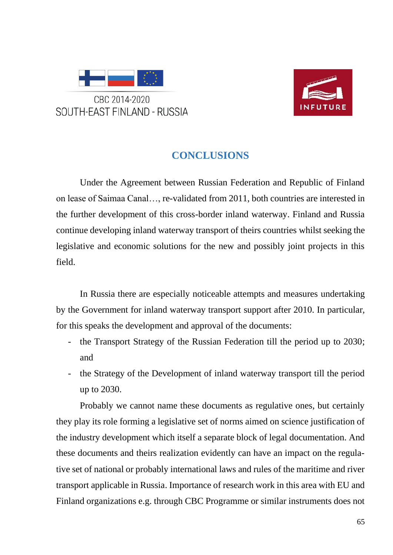



#### **CONCLUSIONS**

Under the Agreement between Russian Federation and Republic of Finland on lease of Saimaa Canal…, re-validated from 2011, both countries are interested in the further development of this cross-border inland waterway. Finland and Russia continue developing inland waterway transport of theirs countries whilst seeking the legislative and economic solutions for the new and possibly joint projects in this field.

In Russia there are especially noticeable attempts and measures undertaking by the Government for inland waterway transport support after 2010. In particular, for this speaks the development and approval of the documents:

- the Transport Strategy of the Russian Federation till the period up to 2030; and
- the Strategy of the Development of inland waterway transport till the period up to 2030.

Probably we cannot name these documents as regulative ones, but certainly they play its role forming a legislative set of norms aimed on science justification of the industry development which itself a separate block of legal documentation. And these documents and theirs realization evidently can have an impact on the regulative set of national or probably international laws and rules of the maritime and river transport applicable in Russia. Importance of research work in this area with EU and Finland organizations e.g. through CBC Programme or similar instruments does not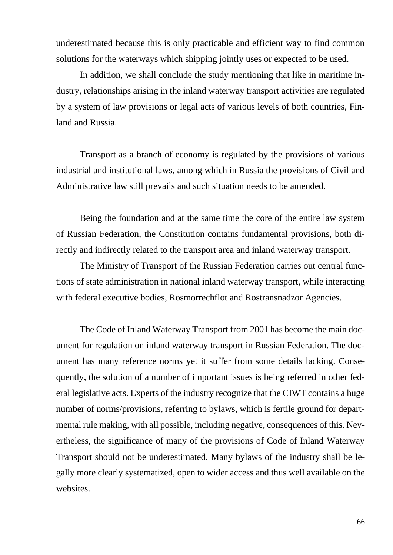underestimated because this is only practicable and efficient way to find common solutions for the waterways which shipping jointly uses or expected to be used.

In addition, we shall conclude the study mentioning that like in maritime industry, relationships arising in the inland waterway transport activities are regulated by a system of law provisions or legal acts of various levels of both countries, Finland and Russia.

Transport as a branch of economy is regulated by the provisions of various industrial and institutional laws, among which in Russia the provisions of Civil and Administrative law still prevails and such situation needs to be amended.

Being the foundation and at the same time the core of the entire law system of Russian Federation, the Constitution contains fundamental provisions, both directly and indirectly related to the transport area and inland waterway transport.

The Ministry of Transport of the Russian Federation carries out central functions of state administration in national inland waterway transport, while interacting with federal executive bodies, Rosmorrechflot and Rostransnadzor Agencies.

The Code of Inland Waterway Transport from 2001 has become the main document for regulation on inland waterway transport in Russian Federation. The document has many reference norms yet it suffer from some details lacking. Consequently, the solution of a number of important issues is being referred in other federal legislative acts. Experts of the industry recognize that the CIWT contains a huge number of norms/provisions, referring to bylaws, which is fertile ground for departmental rule making, with all possible, including negative, consequences of this. Nevertheless, the significance of many of the provisions of Code of Inland Waterway Transport should not be underestimated. Many bylaws of the industry shall be legally more clearly systematized, open to wider access and thus well available on the websites.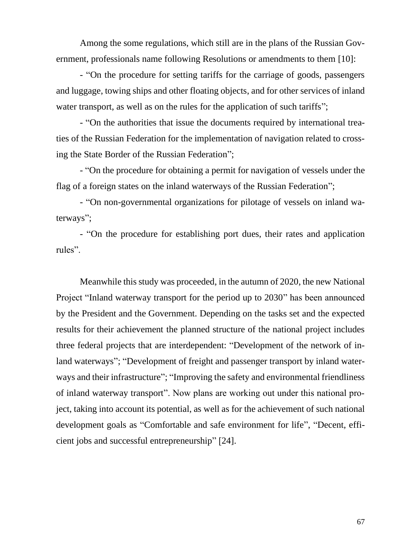Among the some regulations, which still are in the plans of the Russian Government, professionals name following Resolutions or amendments to them [10]:

- "On the procedure for setting tariffs for the carriage of goods, passengers and luggage, towing ships and other floating objects, and for other services of inland water transport, as well as on the rules for the application of such tariffs";

- "On the authorities that issue the documents required by international treaties of the Russian Federation for the implementation of navigation related to crossing the State Border of the Russian Federation";

- "On the procedure for obtaining a permit for navigation of vessels under the flag of a foreign states on the inland waterways of the Russian Federation";

- "On non-governmental organizations for pilotage of vessels on inland waterways";

- "On the procedure for establishing port dues, their rates and application rules".

Meanwhile this study was proceeded, in the autumn of 2020, the new National Project "Inland waterway transport for the period up to 2030" has been announced by the President and the Government. Depending on the tasks set and the expected results for their achievement the planned structure of the national project includes three federal projects that are interdependent: "Development of the network of inland waterways"; "Development of freight and passenger transport by inland waterways and their infrastructure"; "Improving the safety and environmental friendliness of inland waterway transport". Now plans are working out under this national project, taking into account its potential, as well as for the achievement of such national development goals as "Comfortable and safe environment for life", "Decent, efficient jobs and successful entrepreneurship" [24].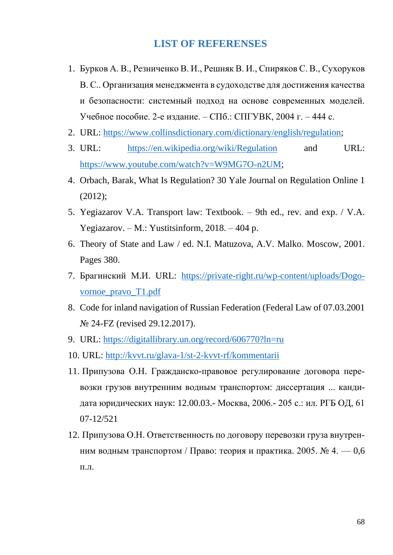#### **LIST OF REFERENSES**

- 1. Бурков А. В., Резниченко В. И., Решняк В. И., Спиряков С. В., Сухоруков В. С.. Организация менеджмента в судоходстве для достижения качества и безопасности: системный подход на основе современных моделей. Учебное пособие. 2-е издание. – СПб.: СПГУВК, 2004 г. – 444 с.
- 2. URL: [https://www.collinsdictionary.com/dictionary/english/regulation;](https://www.collinsdictionary.com/dictionary/english/regulation)
- 3. URL: <https://en.wikipedia.org/wiki/Regulation> and URL: [https://www.youtube.com/watch?v=W9MG7O-n2UM;](https://www.youtube.com/watch?v=W9MG7O-n2UM)
- 4. Orbach, Barak, What Is Regulation? 30 Yale Journal on Regulation Online 1 (2012);
- 5. Yegiazarov V.A. Transport law: Textbook. 9th ed., rev. and exp. / V.A. Yegiazarov. – M.: Yustitsinform, 2018. – 404 p.
- 6. Theory of State and Law / ed. N.I. Matuzova, A.V. Malko. Moscow, 2001. Pages 380.
- 7. Брагинский М.И. URL: [https://private-right.ru/wp-content/uploads/Dogo](https://private-right.ru/wp-content/uploads/Dogovornoe_pravo_T1.pdf)[vornoe\\_pravo\\_T1.pdf](https://private-right.ru/wp-content/uploads/Dogovornoe_pravo_T1.pdf)
- 8. Code for inland navigation of Russian Federation (Federal Law of 07.03.2001 № 24-FZ (revised 29.12.2017).
- 9. URL:<https://digitallibrary.un.org/record/606770?ln=ru>
- 10. URL:<http://kvvt.ru/glava-1/st-2-kvvt-rf/kommentarii>
- 11. Припузова О.Н. Гражданско-правовое регулирование договора перевозки грузов внутренним водным транспортом: диссертация ... кандидата юридических наук: 12.00.03.- Москва, 2006.- 205 с.: ил. РГБ ОД, 61 07-12/521
- 12. Припузова О.Н. Ответственность по договору перевозки груза внутренним водным транспортом / Право: теория и практика. 2005.  $\mathbb{N}_2$  4. – 0.6 п.л.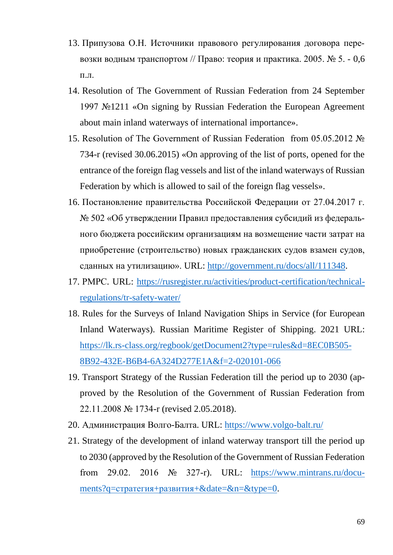- 13. Припузова О.Н. Источники правового регулирования договора перевозки водным транспортом // Право: теория и практика. 2005. № 5. - 0,6 п.л.
- 14. Resolution of The Government of Russian Federation from 24 September 1997 №1211 «On signing by Russian Federation the European Agreement about main inland waterways of international importance».
- 15. Resolution of The Government of Russian Federation from 05.05.2012 № 734-r (revised 30.06.2015) «On approving of the list of ports, opened for the entrance of the foreign flag vessels and list of the inland waterways of Russian Federation by which is allowed to sail of the foreign flag vessels».
- 16. Постановление правительства Российской Федерации от 27.04.2017 г. № 502 «Об утверждении Правил предоставления субсидий из федерального бюджета российским организациям на возмещение части затрат на приобретение (строительство) новых гражданских судов взамен судов, сданных на утилизацию». URL: [http://government.ru/docs/all/111348.](http://government.ru/docs/all/111348)
- 17. РМРС. URL: [https://rusregister.ru/activities/product-certification/technical](https://rusregister.ru/activities/product-certification/technical-regulations/tr-safety-water/)[regulations/tr-safety-water/](https://rusregister.ru/activities/product-certification/technical-regulations/tr-safety-water/)
- 18. Rules for the Surveys of Inland Navigation Ships in Service (for European Inland Waterways). Russian Maritime Register of Shipping. 2021 URL: [https://lk.rs-class.org/regbook/getDocument2?type=rules&d=8EC0B505-](https://lk.rs-class.org/regbook/getDocument2?type=rules&d=8EC0B505-8B92-432E-B6B4-6A324D277E1A&f=2-020101-066) [8B92-432E-B6B4-6A324D277E1A&f=2-020101-066](https://lk.rs-class.org/regbook/getDocument2?type=rules&d=8EC0B505-8B92-432E-B6B4-6A324D277E1A&f=2-020101-066)
- 19. Transport Strategy of the Russian Federation till the period up to 2030 (approved by the Resolution of the Government of Russian Federation from 22.11.2008 № 1734-r (revised 2.05.2018).
- 20. Администрация Волго-Балта. URL:<https://www.volgo-balt.ru/>
- 21. Strategy of the development of inland waterway transport till the period up to 2030 (approved by the Resolution of the Government of Russian Federation from 29.02. 2016 № 327-r). URL: [https://www.mintrans.ru/docu](https://www.mintrans.ru/documents?q=стратегия+развития+&date=&n=&type=0)[ments?q=стратегия+развития+&date=&n=&type=0.](https://www.mintrans.ru/documents?q=стратегия+развития+&date=&n=&type=0)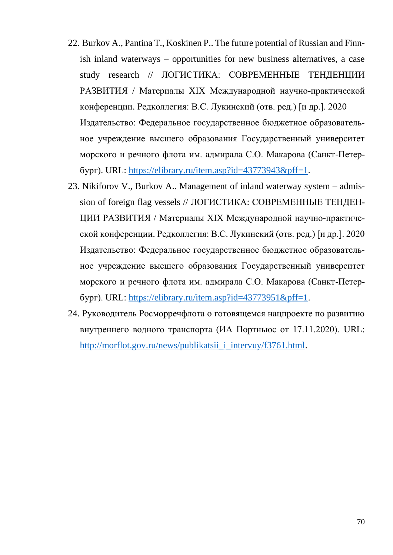- 22. Burkov A., Pantina T., Koskinen P.. The future potential of Russian and Finnish inland waterways – opportunities for new business alternatives, a case study research // ЛОГИСТИКА: СОВРЕМЕННЫЕ ТЕНДЕНЦИИ РАЗВИТИЯ / Материалы XIX Международной научно-практической конференции. Редколлегия: В.С. Лукинский (отв. ред.) [и др.]. 2020 Издательство: Федеральное государственное бюджетное образовательное учреждение высшего образования Государственный университет морского и речного флота им. адмирала С.О. Макарова (Санкт-Петербург). URL: [https://elibrary.ru/item.asp?id=43773943&pff=1.](https://elibrary.ru/item.asp?id=43773943&pff=1)
- 23. Nikiforov V., Burkov A.. Management of inland waterway system admission of foreign flag vessels // ЛОГИСТИКА: СОВРЕМЕННЫЕ ТЕНДЕН-ЦИИ РАЗВИТИЯ / Материалы XIX Международной научно-практической конференции. Редколлегия: В.С. Лукинский (отв. ред.) [и др.]. 2020 Издательство: Федеральное государственное бюджетное образовательное учреждение высшего образования Государственный университет морского и речного флота им. адмирала С.О. Макарова (Санкт-Петербург). URL: [https://elibrary.ru/item.asp?id=43773951&pff=1.](https://elibrary.ru/item.asp?id=43773951&pff=1)
- 24. Руководитель Росморречфлота о готовящемся нацпроекте по развитию внутреннего водного транспорта (ИА Портньюс от 17.11.2020). URL: [http://morflot.gov.ru/news/publikatsii\\_i\\_intervuy/f3761.html.](http://morflot.gov.ru/news/publikatsii_i_intervuy/f3761.html)